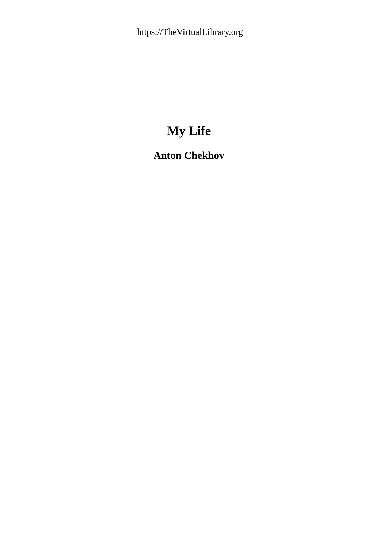# **My Life**

## **Anton Chekhov**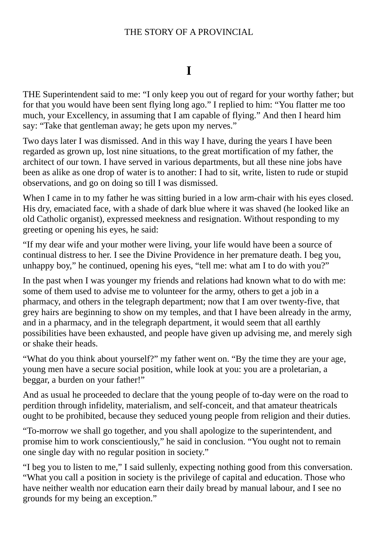#### THE STORY OF A PROVINCIAL

### **I**

THE Superintendent said to me: "I only keep you out of regard for your worthy father; but for that you would have been sent flying long ago." I replied to him: "You flatter me too much, your Excellency, in assuming that I am capable of flying." And then I heard him say: "Take that gentleman away; he gets upon my nerves."

Two days later I was dismissed. And in this way I have, during the years I have been regarded as grown up, lost nine situations, to the great mortification of my father, the architect of our town. I have served in various departments, but all these nine jobs have been as alike as one drop of water is to another: I had to sit, write, listen to rude or stupid observations, and go on doing so till I was dismissed.

When I came in to my father he was sitting buried in a low arm-chair with his eyes closed. His dry, emaciated face, with a shade of dark blue where it was shaved (he looked like an old Catholic organist), expressed meekness and resignation. Without responding to my greeting or opening his eyes, he said:

"If my dear wife and your mother were living, your life would have been a source of continual distress to her. I see the Divine Providence in her premature death. I beg you, unhappy boy," he continued, opening his eyes, "tell me: what am I to do with you?"

In the past when I was younger my friends and relations had known what to do with me: some of them used to advise me to volunteer for the army, others to get a job in a pharmacy, and others in the telegraph department; now that I am over twenty-five, that grey hairs are beginning to show on my temples, and that I have been already in the army, and in a pharmacy, and in the telegraph department, it would seem that all earthly possibilities have been exhausted, and people have given up advising me, and merely sigh or shake their heads.

"What do you think about yourself?" my father went on. "By the time they are your age, young men have a secure social position, while look at you: you are a proletarian, a beggar, a burden on your father!"

And as usual he proceeded to declare that the young people of to-day were on the road to perdition through infidelity, materialism, and self-conceit, and that amateur theatricals ought to be prohibited, because they seduced young people from religion and their duties.

"To-morrow we shall go together, and you shall apologize to the superintendent, and promise him to work conscientiously," he said in conclusion. "You ought not to remain one single day with no regular position in society."

"I beg you to listen to me," I said sullenly, expecting nothing good from this conversation. "What you call a position in society is the privilege of capital and education. Those who have neither wealth nor education earn their daily bread by manual labour, and I see no grounds for my being an exception."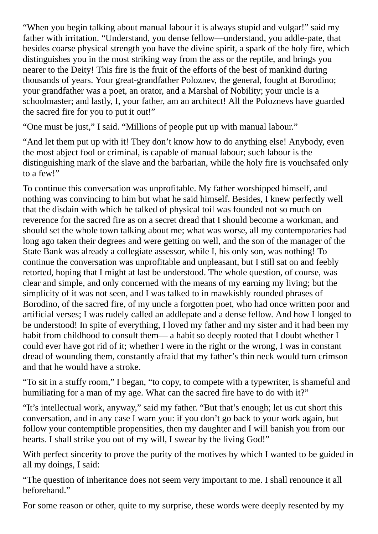"When you begin talking about manual labour it is always stupid and vulgar!" said my father with irritation. "Understand, you dense fellow—understand, you addle-pate, that besides coarse physical strength you have the divine spirit, a spark of the holy fire, which distinguishes you in the most striking way from the ass or the reptile, and brings you nearer to the Deity! This fire is the fruit of the efforts of the best of mankind during thousands of years. Your great-grandfather Poloznev, the general, fought at Borodino; your grandfather was a poet, an orator, and a Marshal of Nobility; your uncle is a schoolmaster; and lastly, I, your father, am an architect! All the Poloznevs have guarded the sacred fire for you to put it out!"

"One must be just," I said. "Millions of people put up with manual labour."

"And let them put up with it! They don't know how to do anything else! Anybody, even the most abject fool or criminal, is capable of manual labour; such labour is the distinguishing mark of the slave and the barbarian, while the holy fire is vouchsafed only to a few!"

To continue this conversation was unprofitable. My father worshipped himself, and nothing was convincing to him but what he said himself. Besides, I knew perfectly well that the disdain with which he talked of physical toil was founded not so much on reverence for the sacred fire as on a secret dread that I should become a workman, and should set the whole town talking about me; what was worse, all my contemporaries had long ago taken their degrees and were getting on well, and the son of the manager of the State Bank was already a collegiate assessor, while I, his only son, was nothing! To continue the conversation was unprofitable and unpleasant, but I still sat on and feebly retorted, hoping that I might at last be understood. The whole question, of course, was clear and simple, and only concerned with the means of my earning my living; but the simplicity of it was not seen, and I was talked to in mawkishly rounded phrases of Borodino, of the sacred fire, of my uncle a forgotten poet, who had once written poor and artificial verses; I was rudely called an addlepate and a dense fellow. And how I longed to be understood! In spite of everything, I loved my father and my sister and it had been my habit from childhood to consult them— a habit so deeply rooted that I doubt whether I could ever have got rid of it; whether I were in the right or the wrong, I was in constant dread of wounding them, constantly afraid that my father's thin neck would turn crimson and that he would have a stroke.

"To sit in a stuffy room," I began, "to copy, to compete with a typewriter, is shameful and humiliating for a man of my age. What can the sacred fire have to do with it?"

"It's intellectual work, anyway," said my father. "But that's enough; let us cut short this conversation, and in any case I warn you: if you don't go back to your work again, but follow your contemptible propensities, then my daughter and I will banish you from our hearts. I shall strike you out of my will, I swear by the living God!"

With perfect sincerity to prove the purity of the motives by which I wanted to be guided in all my doings, I said:

"The question of inheritance does not seem very important to me. I shall renounce it all beforehand."

For some reason or other, quite to my surprise, these words were deeply resented by my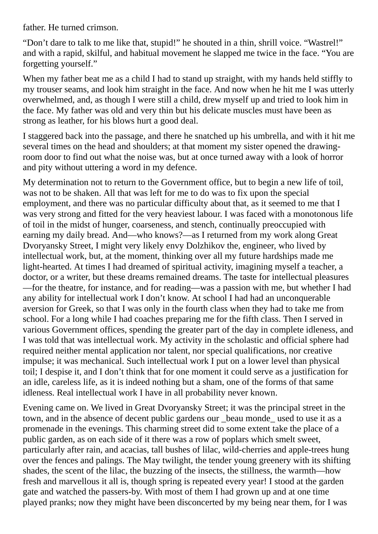father. He turned crimson.

"Don't dare to talk to me like that, stupid!" he shouted in a thin, shrill voice. "Wastrel!" and with a rapid, skilful, and habitual movement he slapped me twice in the face. "You are forgetting yourself."

When my father beat me as a child I had to stand up straight, with my hands held stiffly to my trouser seams, and look him straight in the face. And now when he hit me I was utterly overwhelmed, and, as though I were still a child, drew myself up and tried to look him in the face. My father was old and very thin but his delicate muscles must have been as strong as leather, for his blows hurt a good deal.

I staggered back into the passage, and there he snatched up his umbrella, and with it hit me several times on the head and shoulders; at that moment my sister opened the drawingroom door to find out what the noise was, but at once turned away with a look of horror and pity without uttering a word in my defence.

My determination not to return to the Government office, but to begin a new life of toil, was not to be shaken. All that was left for me to do was to fix upon the special employment, and there was no particular difficulty about that, as it seemed to me that I was very strong and fitted for the very heaviest labour. I was faced with a monotonous life of toil in the midst of hunger, coarseness, and stench, continually preoccupied with earning my daily bread. And—who knows?—as I returned from my work along Great Dvoryansky Street, I might very likely envy Dolzhikov the, engineer, who lived by intellectual work, but, at the moment, thinking over all my future hardships made me light-hearted. At times I had dreamed of spiritual activity, imagining myself a teacher, a doctor, or a writer, but these dreams remained dreams. The taste for intellectual pleasures —for the theatre, for instance, and for reading—was a passion with me, but whether I had any ability for intellectual work I don't know. At school I had had an unconquerable aversion for Greek, so that I was only in the fourth class when they had to take me from school. For a long while I had coaches preparing me for the fifth class. Then I served in various Government offices, spending the greater part of the day in complete idleness, and I was told that was intellectual work. My activity in the scholastic and official sphere had required neither mental application nor talent, nor special qualifications, nor creative impulse; it was mechanical. Such intellectual work I put on a lower level than physical toil; I despise it, and I don't think that for one moment it could serve as a justification for an idle, careless life, as it is indeed nothing but a sham, one of the forms of that same idleness. Real intellectual work I have in all probability never known.

Evening came on. We lived in Great Dvoryansky Street; it was the principal street in the town, and in the absence of decent public gardens our \_beau monde\_ used to use it as a promenade in the evenings. This charming street did to some extent take the place of a public garden, as on each side of it there was a row of poplars which smelt sweet, particularly after rain, and acacias, tall bushes of lilac, wild-cherries and apple-trees hung over the fences and palings. The May twilight, the tender young greenery with its shifting shades, the scent of the lilac, the buzzing of the insects, the stillness, the warmth—how fresh and marvellous it all is, though spring is repeated every year! I stood at the garden gate and watched the passers-by. With most of them I had grown up and at one time played pranks; now they might have been disconcerted by my being near them, for I was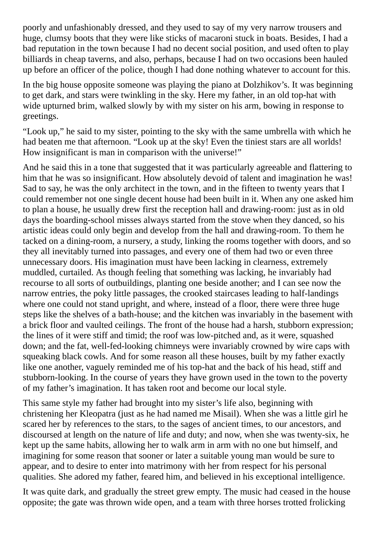poorly and unfashionably dressed, and they used to say of my very narrow trousers and huge, clumsy boots that they were like sticks of macaroni stuck in boats. Besides, I had a bad reputation in the town because I had no decent social position, and used often to play billiards in cheap taverns, and also, perhaps, because I had on two occasions been hauled up before an officer of the police, though I had done nothing whatever to account for this.

In the big house opposite someone was playing the piano at Dolzhikov's. It was beginning to get dark, and stars were twinkling in the sky. Here my father, in an old top-hat with wide upturned brim, walked slowly by with my sister on his arm, bowing in response to greetings.

"Look up," he said to my sister, pointing to the sky with the same umbrella with which he had beaten me that afternoon. "Look up at the sky! Even the tiniest stars are all worlds! How insignificant is man in comparison with the universe!"

And he said this in a tone that suggested that it was particularly agreeable and flattering to him that he was so insignificant. How absolutely devoid of talent and imagination he was! Sad to say, he was the only architect in the town, and in the fifteen to twenty years that I could remember not one single decent house had been built in it. When any one asked him to plan a house, he usually drew first the reception hall and drawing-room: just as in old days the boarding-school misses always started from the stove when they danced, so his artistic ideas could only begin and develop from the hall and drawing-room. To them he tacked on a dining-room, a nursery, a study, linking the rooms together with doors, and so they all inevitably turned into passages, and every one of them had two or even three unnecessary doors. His imagination must have been lacking in clearness, extremely muddled, curtailed. As though feeling that something was lacking, he invariably had recourse to all sorts of outbuildings, planting one beside another; and I can see now the narrow entries, the poky little passages, the crooked staircases leading to half-landings where one could not stand upright, and where, instead of a floor, there were three huge steps like the shelves of a bath-house; and the kitchen was invariably in the basement with a brick floor and vaulted ceilings. The front of the house had a harsh, stubborn expression; the lines of it were stiff and timid; the roof was low-pitched and, as it were, squashed down; and the fat, well-fed-looking chimneys were invariably crowned by wire caps with squeaking black cowls. And for some reason all these houses, built by my father exactly like one another, vaguely reminded me of his top-hat and the back of his head, stiff and stubborn-looking. In the course of years they have grown used in the town to the poverty of my father's imagination. It has taken root and become our local style.

This same style my father had brought into my sister's life also, beginning with christening her Kleopatra (just as he had named me Misail). When she was a little girl he scared her by references to the stars, to the sages of ancient times, to our ancestors, and discoursed at length on the nature of life and duty; and now, when she was twenty-six, he kept up the same habits, allowing her to walk arm in arm with no one but himself, and imagining for some reason that sooner or later a suitable young man would be sure to appear, and to desire to enter into matrimony with her from respect for his personal qualities. She adored my father, feared him, and believed in his exceptional intelligence.

It was quite dark, and gradually the street grew empty. The music had ceased in the house opposite; the gate was thrown wide open, and a team with three horses trotted frolicking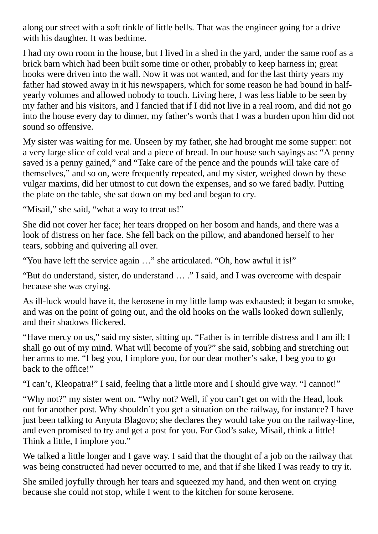along our street with a soft tinkle of little bells. That was the engineer going for a drive with his daughter. It was bedtime.

I had my own room in the house, but I lived in a shed in the yard, under the same roof as a brick barn which had been built some time or other, probably to keep harness in; great hooks were driven into the wall. Now it was not wanted, and for the last thirty years my father had stowed away in it his newspapers, which for some reason he had bound in halfyearly volumes and allowed nobody to touch. Living here, I was less liable to be seen by my father and his visitors, and I fancied that if I did not live in a real room, and did not go into the house every day to dinner, my father's words that I was a burden upon him did not sound so offensive.

My sister was waiting for me. Unseen by my father, she had brought me some supper: not a very large slice of cold veal and a piece of bread. In our house such sayings as: "A penny saved is a penny gained," and "Take care of the pence and the pounds will take care of themselves," and so on, were frequently repeated, and my sister, weighed down by these vulgar maxims, did her utmost to cut down the expenses, and so we fared badly. Putting the plate on the table, she sat down on my bed and began to cry.

"Misail," she said, "what a way to treat us!"

She did not cover her face; her tears dropped on her bosom and hands, and there was a look of distress on her face. She fell back on the pillow, and abandoned herself to her tears, sobbing and quivering all over.

"You have left the service again …" she articulated. "Oh, how awful it is!"

"But do understand, sister, do understand … ." I said, and I was overcome with despair because she was crying.

As ill-luck would have it, the kerosene in my little lamp was exhausted; it began to smoke, and was on the point of going out, and the old hooks on the walls looked down sullenly, and their shadows flickered.

"Have mercy on us," said my sister, sitting up. "Father is in terrible distress and I am ill; I shall go out of my mind. What will become of you?" she said, sobbing and stretching out her arms to me. "I beg you, I implore you, for our dear mother's sake, I beg you to go back to the office!"

"I can't, Kleopatra!" I said, feeling that a little more and I should give way. "I cannot!"

"Why not?" my sister went on. "Why not? Well, if you can't get on with the Head, look out for another post. Why shouldn't you get a situation on the railway, for instance? I have just been talking to Anyuta Blagovo; she declares they would take you on the railway-line, and even promised to try and get a post for you. For God's sake, Misail, think a little! Think a little, I implore you."

We talked a little longer and I gave way. I said that the thought of a job on the railway that was being constructed had never occurred to me, and that if she liked I was ready to try it.

She smiled joyfully through her tears and squeezed my hand, and then went on crying because she could not stop, while I went to the kitchen for some kerosene.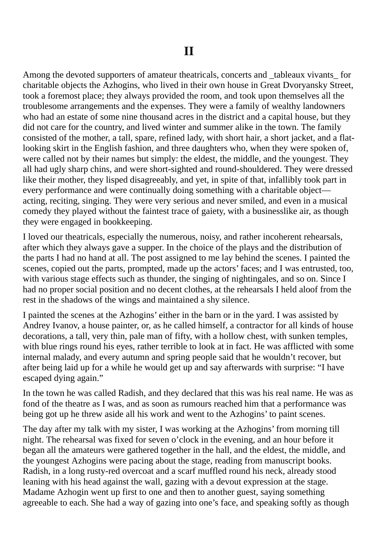Among the devoted supporters of amateur theatricals, concerts and \_tableaux vivants \_ for charitable objects the Azhogins, who lived in their own house in Great Dvoryansky Street, took a foremost place; they always provided the room, and took upon themselves all the troublesome arrangements and the expenses. They were a family of wealthy landowners who had an estate of some nine thousand acres in the district and a capital house, but they did not care for the country, and lived winter and summer alike in the town. The family consisted of the mother, a tall, spare, refined lady, with short hair, a short jacket, and a flatlooking skirt in the English fashion, and three daughters who, when they were spoken of, were called not by their names but simply: the eldest, the middle, and the youngest. They all had ugly sharp chins, and were short-sighted and round-shouldered. They were dressed like their mother, they lisped disagreeably, and yet, in spite of that, infallibly took part in every performance and were continually doing something with a charitable object acting, reciting, singing. They were very serious and never smiled, and even in a musical comedy they played without the faintest trace of gaiety, with a businesslike air, as though they were engaged in bookkeeping.

I loved our theatricals, especially the numerous, noisy, and rather incoherent rehearsals, after which they always gave a supper. In the choice of the plays and the distribution of the parts I had no hand at all. The post assigned to me lay behind the scenes. I painted the scenes, copied out the parts, prompted, made up the actors' faces; and I was entrusted, too, with various stage effects such as thunder, the singing of nightingales, and so on. Since I had no proper social position and no decent clothes, at the rehearsals I held aloof from the rest in the shadows of the wings and maintained a shy silence.

I painted the scenes at the Azhogins' either in the barn or in the yard. I was assisted by Andrey Ivanov, a house painter, or, as he called himself, a contractor for all kinds of house decorations, a tall, very thin, pale man of fifty, with a hollow chest, with sunken temples, with blue rings round his eyes, rather terrible to look at in fact. He was afflicted with some internal malady, and every autumn and spring people said that he wouldn't recover, but after being laid up for a while he would get up and say afterwards with surprise: "I have escaped dying again."

In the town he was called Radish, and they declared that this was his real name. He was as fond of the theatre as I was, and as soon as rumours reached him that a performance was being got up he threw aside all his work and went to the Azhogins' to paint scenes.

The day after my talk with my sister, I was working at the Azhogins' from morning till night. The rehearsal was fixed for seven o'clock in the evening, and an hour before it began all the amateurs were gathered together in the hall, and the eldest, the middle, and the youngest Azhogins were pacing about the stage, reading from manuscript books. Radish, in a long rusty-red overcoat and a scarf muffled round his neck, already stood leaning with his head against the wall, gazing with a devout expression at the stage. Madame Azhogin went up first to one and then to another guest, saying something agreeable to each. She had a way of gazing into one's face, and speaking softly as though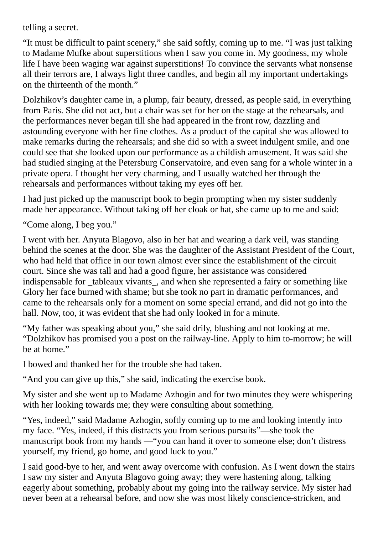telling a secret.

"It must be difficult to paint scenery," she said softly, coming up to me. "I was just talking to Madame Mufke about superstitions when I saw you come in. My goodness, my whole life I have been waging war against superstitions! To convince the servants what nonsense all their terrors are, I always light three candles, and begin all my important undertakings on the thirteenth of the month."

Dolzhikov's daughter came in, a plump, fair beauty, dressed, as people said, in everything from Paris. She did not act, but a chair was set for her on the stage at the rehearsals, and the performances never began till she had appeared in the front row, dazzling and astounding everyone with her fine clothes. As a product of the capital she was allowed to make remarks during the rehearsals; and she did so with a sweet indulgent smile, and one could see that she looked upon our performance as a childish amusement. It was said she had studied singing at the Petersburg Conservatoire, and even sang for a whole winter in a private opera. I thought her very charming, and I usually watched her through the rehearsals and performances without taking my eyes off her.

I had just picked up the manuscript book to begin prompting when my sister suddenly made her appearance. Without taking off her cloak or hat, she came up to me and said:

"Come along, I beg you."

I went with her. Anyuta Blagovo, also in her hat and wearing a dark veil, was standing behind the scenes at the door. She was the daughter of the Assistant President of the Court, who had held that office in our town almost ever since the establishment of the circuit court. Since she was tall and had a good figure, her assistance was considered indispensable for tableaux vivants, and when she represented a fairy or something like Glory her face burned with shame; but she took no part in dramatic performances, and came to the rehearsals only for a moment on some special errand, and did not go into the hall. Now, too, it was evident that she had only looked in for a minute.

"My father was speaking about you," she said drily, blushing and not looking at me. "Dolzhikov has promised you a post on the railway-line. Apply to him to-morrow; he will be at home."

I bowed and thanked her for the trouble she had taken.

"And you can give up this," she said, indicating the exercise book.

My sister and she went up to Madame Azhogin and for two minutes they were whispering with her looking towards me; they were consulting about something.

"Yes, indeed," said Madame Azhogin, softly coming up to me and looking intently into my face. "Yes, indeed, if this distracts you from serious pursuits"—she took the manuscript book from my hands —"you can hand it over to someone else; don't distress yourself, my friend, go home, and good luck to you."

I said good-bye to her, and went away overcome with confusion. As I went down the stairs I saw my sister and Anyuta Blagovo going away; they were hastening along, talking eagerly about something, probably about my going into the railway service. My sister had never been at a rehearsal before, and now she was most likely conscience-stricken, and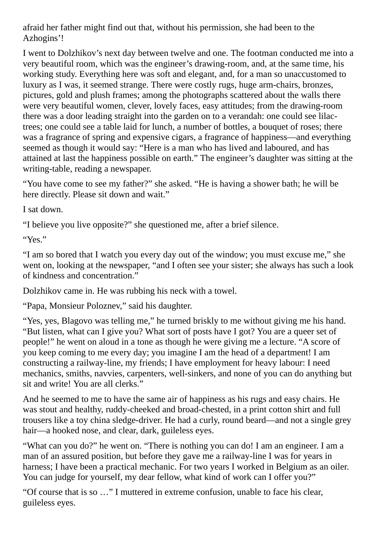afraid her father might find out that, without his permission, she had been to the Azhogins'!

I went to Dolzhikov's next day between twelve and one. The footman conducted me into a very beautiful room, which was the engineer's drawing-room, and, at the same time, his working study. Everything here was soft and elegant, and, for a man so unaccustomed to luxury as I was, it seemed strange. There were costly rugs, huge arm-chairs, bronzes, pictures, gold and plush frames; among the photographs scattered about the walls there were very beautiful women, clever, lovely faces, easy attitudes; from the drawing-room there was a door leading straight into the garden on to a verandah: one could see lilactrees; one could see a table laid for lunch, a number of bottles, a bouquet of roses; there was a fragrance of spring and expensive cigars, a fragrance of happiness—and everything seemed as though it would say: "Here is a man who has lived and laboured, and has attained at last the happiness possible on earth." The engineer's daughter was sitting at the writing-table, reading a newspaper.

"You have come to see my father?" she asked. "He is having a shower bath; he will be here directly. Please sit down and wait."

I sat down.

"I believe you live opposite?" she questioned me, after a brief silence.

"Yes."

"I am so bored that I watch you every day out of the window; you must excuse me," she went on, looking at the newspaper, "and I often see your sister; she always has such a look of kindness and concentration."

Dolzhikov came in. He was rubbing his neck with a towel.

"Papa, Monsieur Poloznev," said his daughter.

"Yes, yes, Blagovo was telling me," he turned briskly to me without giving me his hand. "But listen, what can I give you? What sort of posts have I got? You are a queer set of people!" he went on aloud in a tone as though he were giving me a lecture. "A score of you keep coming to me every day; you imagine I am the head of a department! I am constructing a railway-line, my friends; I have employment for heavy labour: I need mechanics, smiths, navvies, carpenters, well-sinkers, and none of you can do anything but sit and write! You are all clerks."

And he seemed to me to have the same air of happiness as his rugs and easy chairs. He was stout and healthy, ruddy-cheeked and broad-chested, in a print cotton shirt and full trousers like a toy china sledge-driver. He had a curly, round beard—and not a single grey hair—a hooked nose, and clear, dark, guileless eyes.

"What can you do?" he went on. "There is nothing you can do! I am an engineer. I am a man of an assured position, but before they gave me a railway-line I was for years in harness; I have been a practical mechanic. For two years I worked in Belgium as an oiler. You can judge for yourself, my dear fellow, what kind of work can I offer you?"

"Of course that is so …" I muttered in extreme confusion, unable to face his clear, guileless eyes.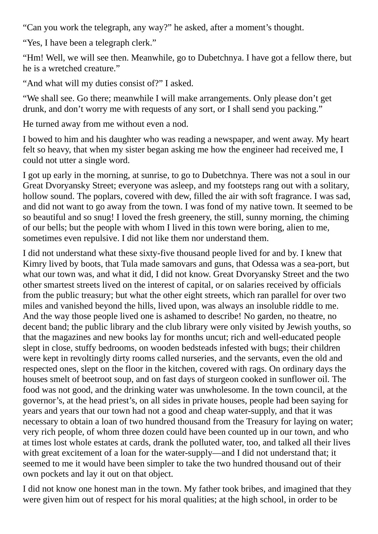"Can you work the telegraph, any way?" he asked, after a moment's thought.

"Yes, I have been a telegraph clerk."

"Hm! Well, we will see then. Meanwhile, go to Dubetchnya. I have got a fellow there, but he is a wretched creature."

"And what will my duties consist of?" I asked.

"We shall see. Go there; meanwhile I will make arrangements. Only please don't get drunk, and don't worry me with requests of any sort, or I shall send you packing."

He turned away from me without even a nod.

I bowed to him and his daughter who was reading a newspaper, and went away. My heart felt so heavy, that when my sister began asking me how the engineer had received me, I could not utter a single word.

I got up early in the morning, at sunrise, to go to Dubetchnya. There was not a soul in our Great Dvoryansky Street; everyone was asleep, and my footsteps rang out with a solitary, hollow sound. The poplars, covered with dew, filled the air with soft fragrance. I was sad, and did not want to go away from the town. I was fond of my native town. It seemed to be so beautiful and so snug! I loved the fresh greenery, the still, sunny morning, the chiming of our bells; but the people with whom I lived in this town were boring, alien to me, sometimes even repulsive. I did not like them nor understand them.

I did not understand what these sixty-five thousand people lived for and by. I knew that Kimry lived by boots, that Tula made samovars and guns, that Odessa was a sea-port, but what our town was, and what it did, I did not know. Great Dvoryansky Street and the two other smartest streets lived on the interest of capital, or on salaries received by officials from the public treasury; but what the other eight streets, which ran parallel for over two miles and vanished beyond the hills, lived upon, was always an insoluble riddle to me. And the way those people lived one is ashamed to describe! No garden, no theatre, no decent band; the public library and the club library were only visited by Jewish youths, so that the magazines and new books lay for months uncut; rich and well-educated people slept in close, stuffy bedrooms, on wooden bedsteads infested with bugs; their children were kept in revoltingly dirty rooms called nurseries, and the servants, even the old and respected ones, slept on the floor in the kitchen, covered with rags. On ordinary days the houses smelt of beetroot soup, and on fast days of sturgeon cooked in sunflower oil. The food was not good, and the drinking water was unwholesome. In the town council, at the governor's, at the head priest's, on all sides in private houses, people had been saying for years and years that our town had not a good and cheap water-supply, and that it was necessary to obtain a loan of two hundred thousand from the Treasury for laying on water; very rich people, of whom three dozen could have been counted up in our town, and who at times lost whole estates at cards, drank the polluted water, too, and talked all their lives with great excitement of a loan for the water-supply—and I did not understand that; it seemed to me it would have been simpler to take the two hundred thousand out of their own pockets and lay it out on that object.

I did not know one honest man in the town. My father took bribes, and imagined that they were given him out of respect for his moral qualities; at the high school, in order to be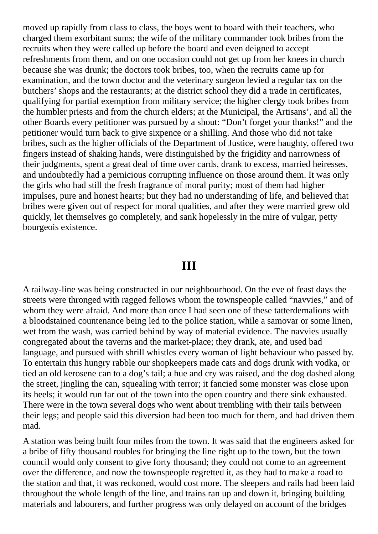moved up rapidly from class to class, the boys went to board with their teachers, who charged them exorbitant sums; the wife of the military commander took bribes from the recruits when they were called up before the board and even deigned to accept refreshments from them, and on one occasion could not get up from her knees in church because she was drunk; the doctors took bribes, too, when the recruits came up for examination, and the town doctor and the veterinary surgeon levied a regular tax on the butchers'shops and the restaurants; at the district school they did a trade in certificates, qualifying for partial exemption from military service; the higher clergy took bribes from the humbler priests and from the church elders; at the Municipal, the Artisans', and all the other Boards every petitioner was pursued by a shout: "Don't forget your thanks!" and the petitioner would turn back to give sixpence or a shilling. And those who did not take bribes, such as the higher officials of the Department of Justice, were haughty, offered two fingers instead of shaking hands, were distinguished by the frigidity and narrowness of their judgments, spent a great deal of time over cards, drank to excess, married heiresses, and undoubtedly had a pernicious corrupting influence on those around them. It was only the girls who had still the fresh fragrance of moral purity; most of them had higher impulses, pure and honest hearts; but they had no understanding of life, and believed that bribes were given out of respect for moral qualities, and after they were married grew old quickly, let themselves go completely, and sank hopelessly in the mire of vulgar, petty bourgeois existence.

### **III**

A railway-line was being constructed in our neighbourhood. On the eve of feast days the streets were thronged with ragged fellows whom the townspeople called "navvies," and of whom they were afraid. And more than once I had seen one of these tatterdemalions with a bloodstained countenance being led to the police station, while a samovar or some linen, wet from the wash, was carried behind by way of material evidence. The navvies usually congregated about the taverns and the market-place; they drank, ate, and used bad language, and pursued with shrill whistles every woman of light behaviour who passed by. To entertain this hungry rabble our shopkeepers made cats and dogs drunk with vodka, or tied an old kerosene can to a dog's tail; a hue and cry was raised, and the dog dashed along the street, jingling the can, squealing with terror; it fancied some monster was close upon its heels; it would run far out of the town into the open country and there sink exhausted. There were in the town several dogs who went about trembling with their tails between their legs; and people said this diversion had been too much for them, and had driven them mad.

A station was being built four miles from the town. It was said that the engineers asked for a bribe of fifty thousand roubles for bringing the line right up to the town, but the town council would only consent to give forty thousand; they could not come to an agreement over the difference, and now the townspeople regretted it, as they had to make a road to the station and that, it was reckoned, would cost more. The sleepers and rails had been laid throughout the whole length of the line, and trains ran up and down it, bringing building materials and labourers, and further progress was only delayed on account of the bridges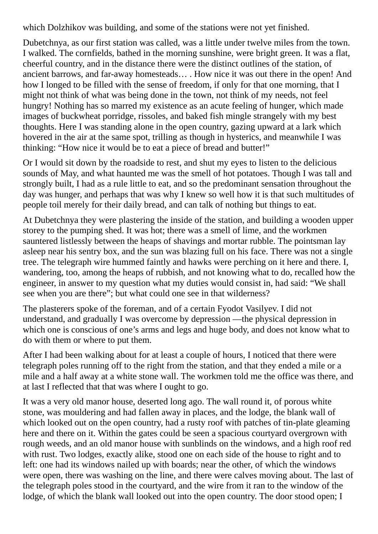which Dolzhikov was building, and some of the stations were not yet finished.

Dubetchnya, as our first station was called, was a little under twelve miles from the town. I walked. The cornfields, bathed in the morning sunshine, were bright green. It was a flat, cheerful country, and in the distance there were the distinct outlines of the station, of ancient barrows, and far-away homesteads… . How nice it was out there in the open! And how I longed to be filled with the sense of freedom, if only for that one morning, that I might not think of what was being done in the town, not think of my needs, not feel hungry! Nothing has so marred my existence as an acute feeling of hunger, which made images of buckwheat porridge, rissoles, and baked fish mingle strangely with my best thoughts. Here I was standing alone in the open country, gazing upward at a lark which hovered in the air at the same spot, trilling as though in hysterics, and meanwhile I was thinking: "How nice it would be to eat a piece of bread and butter!"

Or I would sit down by the roadside to rest, and shut my eyes to listen to the delicious sounds of May, and what haunted me was the smell of hot potatoes. Though I was tall and strongly built, I had as a rule little to eat, and so the predominant sensation throughout the day was hunger, and perhaps that was why I knew so well how it is that such multitudes of people toil merely for their daily bread, and can talk of nothing but things to eat.

At Dubetchnya they were plastering the inside of the station, and building a wooden upper storey to the pumping shed. It was hot; there was a smell of lime, and the workmen sauntered listlessly between the heaps of shavings and mortar rubble. The pointsman lay asleep near his sentry box, and the sun was blazing full on his face. There was not a single tree. The telegraph wire hummed faintly and hawks were perching on it here and there. I, wandering, too, among the heaps of rubbish, and not knowing what to do, recalled how the engineer, in answer to my question what my duties would consist in, had said: "We shall see when you are there"; but what could one see in that wilderness?

The plasterers spoke of the foreman, and of a certain Fyodot Vasilyev. I did not understand, and gradually I was overcome by depression —the physical depression in which one is conscious of one's arms and legs and huge body, and does not know what to do with them or where to put them.

After I had been walking about for at least a couple of hours, I noticed that there were telegraph poles running off to the right from the station, and that they ended a mile or a mile and a half away at a white stone wall. The workmen told me the office was there, and at last I reflected that that was where I ought to go.

It was a very old manor house, deserted long ago. The wall round it, of porous white stone, was mouldering and had fallen away in places, and the lodge, the blank wall of which looked out on the open country, had a rusty roof with patches of tin-plate gleaming here and there on it. Within the gates could be seen a spacious courtyard overgrown with rough weeds, and an old manor house with sunblinds on the windows, and a high roof red with rust. Two lodges, exactly alike, stood one on each side of the house to right and to left: one had its windows nailed up with boards; near the other, of which the windows were open, there was washing on the line, and there were calves moving about. The last of the telegraph poles stood in the courtyard, and the wire from it ran to the window of the lodge, of which the blank wall looked out into the open country. The door stood open; I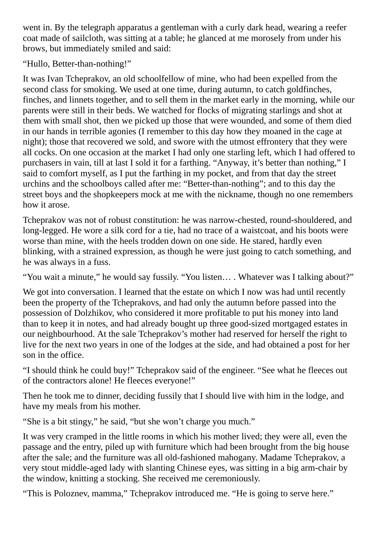went in. By the telegraph apparatus a gentleman with a curly dark head, wearing a reefer coat made of sailcloth, was sitting at a table; he glanced at me morosely from under his brows, but immediately smiled and said:

"Hullo, Better-than-nothing!"

It was Ivan Tcheprakov, an old schoolfellow of mine, who had been expelled from the second class for smoking. We used at one time, during autumn, to catch goldfinches, finches, and linnets together, and to sell them in the market early in the morning, while our parents were still in their beds. We watched for flocks of migrating starlings and shot at them with small shot, then we picked up those that were wounded, and some of them died in our hands in terrible agonies (I remember to this day how they moaned in the cage at night); those that recovered we sold, and swore with the utmost effrontery that they were all cocks. On one occasion at the market I had only one starling left, which I had offered to purchasers in vain, till at last I sold it for a farthing. "Anyway, it's better than nothing," I said to comfort myself, as I put the farthing in my pocket, and from that day the street urchins and the schoolboys called after me: "Better-than-nothing"; and to this day the street boys and the shopkeepers mock at me with the nickname, though no one remembers how it arose.

Tcheprakov was not of robust constitution: he was narrow-chested, round-shouldered, and long-legged. He wore a silk cord for a tie, had no trace of a waistcoat, and his boots were worse than mine, with the heels trodden down on one side. He stared, hardly even blinking, with a strained expression, as though he were just going to catch something, and he was always in a fuss.

"You wait a minute," he would say fussily. "You listen… . Whatever was I talking about?"

We got into conversation. I learned that the estate on which I now was had until recently been the property of the Tcheprakovs, and had only the autumn before passed into the possession of Dolzhikov, who considered it more profitable to put his money into land than to keep it in notes, and had already bought up three good-sized mortgaged estates in our neighbourhood. At the sale Tcheprakov's mother had reserved for herself the right to live for the next two years in one of the lodges at the side, and had obtained a post for her son in the office.

"I should think he could buy!" Tcheprakov said of the engineer. "See what he fleeces out of the contractors alone! He fleeces everyone!"

Then he took me to dinner, deciding fussily that I should live with him in the lodge, and have my meals from his mother.

"She is a bit stingy," he said, "but she won't charge you much."

It was very cramped in the little rooms in which his mother lived; they were all, even the passage and the entry, piled up with furniture which had been brought from the big house after the sale; and the furniture was all old-fashioned mahogany. Madame Tcheprakov, a very stout middle-aged lady with slanting Chinese eyes, was sitting in a big arm-chair by the window, knitting a stocking. She received me ceremoniously.

"This is Poloznev, mamma," Tcheprakov introduced me. "He is going to serve here."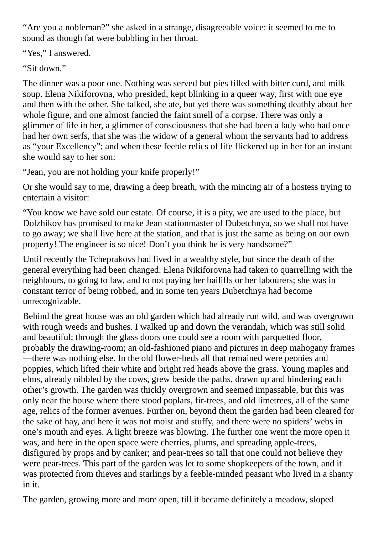"Are you a nobleman?" she asked in a strange, disagreeable voice: it seemed to me to sound as though fat were bubbling in her throat.

"Yes," I answered.

"Sit down."

The dinner was a poor one. Nothing was served but pies filled with bitter curd, and milk soup. Elena Nikiforovna, who presided, kept blinking in a queer way, first with one eye and then with the other. She talked, she ate, but yet there was something deathly about her whole figure, and one almost fancied the faint smell of a corpse. There was only a glimmer of life in her, a glimmer of consciousness that she had been a lady who had once had her own serfs, that she was the widow of a general whom the servants had to address as "your Excellency"; and when these feeble relics of life flickered up in her for an instant she would say to her son:

"Jean, you are not holding your knife properly!"

Or she would say to me, drawing a deep breath, with the mincing air of a hostess trying to entertain a visitor:

"You know we have sold our estate. Of course, it is a pity, we are used to the place, but Dolzhikov has promised to make Jean stationmaster of Dubetchnya, so we shall not have to go away; we shall live here at the station, and that is just the same as being on our own property! The engineer is so nice! Don't you think he is very handsome?"

Until recently the Tcheprakovs had lived in a wealthy style, but since the death of the general everything had been changed. Elena Nikiforovna had taken to quarrelling with the neighbours, to going to law, and to not paying her bailiffs or her labourers; she was in constant terror of being robbed, and in some ten years Dubetchnya had become unrecognizable.

Behind the great house was an old garden which had already run wild, and was overgrown with rough weeds and bushes. I walked up and down the verandah, which was still solid and beautiful; through the glass doors one could see a room with parquetted floor, probably the drawing-room; an old-fashioned piano and pictures in deep mahogany frames —there was nothing else. In the old flower-beds all that remained were peonies and poppies, which lifted their white and bright red heads above the grass. Young maples and elms, already nibbled by the cows, grew beside the paths, drawn up and hindering each other's growth. The garden was thickly overgrown and seemed impassable, but this was only near the house where there stood poplars, fir-trees, and old limetrees, all of the same age, relics of the former avenues. Further on, beyond them the garden had been cleared for the sake of hay, and here it was not moist and stuffy, and there were no spiders' webs in one's mouth and eyes. A light breeze was blowing. The further one went the more open it was, and here in the open space were cherries, plums, and spreading apple-trees, disfigured by props and by canker; and pear-trees so tall that one could not believe they were pear-trees. This part of the garden was let to some shopkeepers of the town, and it was protected from thieves and starlings by a feeble-minded peasant who lived in a shanty in it.

The garden, growing more and more open, till it became definitely a meadow, sloped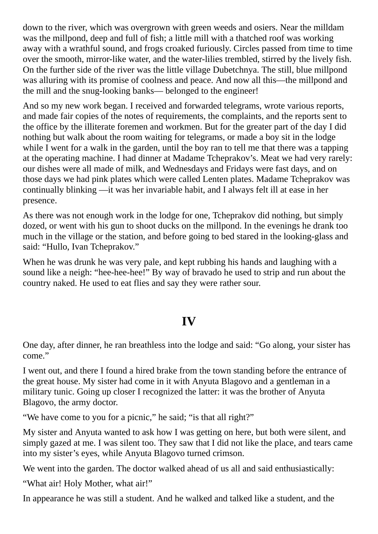down to the river, which was overgrown with green weeds and osiers. Near the milldam was the millpond, deep and full of fish; a little mill with a thatched roof was working away with a wrathful sound, and frogs croaked furiously. Circles passed from time to time over the smooth, mirror-like water, and the water-lilies trembled, stirred by the lively fish. On the further side of the river was the little village Dubetchnya. The still, blue millpond was alluring with its promise of coolness and peace. And now all this—the millpond and the mill and the snug-looking banks— belonged to the engineer!

And so my new work began. I received and forwarded telegrams, wrote various reports, and made fair copies of the notes of requirements, the complaints, and the reports sent to the office by the illiterate foremen and workmen. But for the greater part of the day I did nothing but walk about the room waiting for telegrams, or made a boy sit in the lodge while I went for a walk in the garden, until the boy ran to tell me that there was a tapping at the operating machine. I had dinner at Madame Tcheprakov's. Meat we had very rarely: our dishes were all made of milk, and Wednesdays and Fridays were fast days, and on those days we had pink plates which were called Lenten plates. Madame Tcheprakov was continually blinking —it was her invariable habit, and I always felt ill at ease in her presence.

As there was not enough work in the lodge for one, Tcheprakov did nothing, but simply dozed, or went with his gun to shoot ducks on the millpond. In the evenings he drank too much in the village or the station, and before going to bed stared in the looking-glass and said: "Hullo, Ivan Tcheprakov."

When he was drunk he was very pale, and kept rubbing his hands and laughing with a sound like a neigh: "hee-hee-hee!" By way of bravado he used to strip and run about the country naked. He used to eat flies and say they were rather sour.

### **IV**

One day, after dinner, he ran breathless into the lodge and said: "Go along, your sister has come."

I went out, and there I found a hired brake from the town standing before the entrance of the great house. My sister had come in it with Anyuta Blagovo and a gentleman in a military tunic. Going up closer I recognized the latter: it was the brother of Anyuta Blagovo, the army doctor.

"We have come to you for a picnic," he said; "is that all right?"

My sister and Anyuta wanted to ask how I was getting on here, but both were silent, and simply gazed at me. I was silent too. They saw that I did not like the place, and tears came into my sister's eyes, while Anyuta Blagovo turned crimson.

We went into the garden. The doctor walked ahead of us all and said enthusiastically:

"What air! Holy Mother, what air!"

In appearance he was still a student. And he walked and talked like a student, and the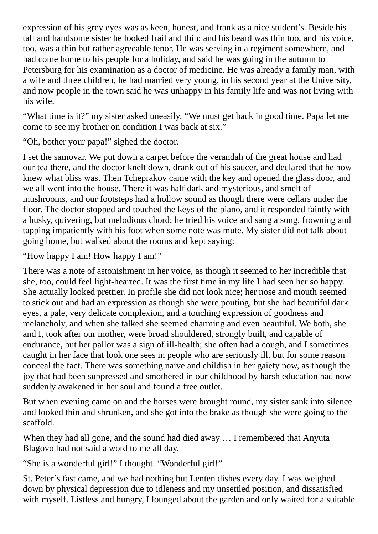expression of his grey eyes was as keen, honest, and frank as a nice student's. Beside his tall and handsome sister he looked frail and thin; and his beard was thin too, and his voice, too, was a thin but rather agreeable tenor. He was serving in a regiment somewhere, and had come home to his people for a holiday, and said he was going in the autumn to Petersburg for his examination as a doctor of medicine. He was already a family man, with a wife and three children, he had married very young, in his second year at the University, and now people in the town said he was unhappy in his family life and was not living with his wife.

"What time is it?" my sister asked uneasily. "We must get back in good time. Papa let me come to see my brother on condition I was back at six."

"Oh, bother your papa!" sighed the doctor.

I set the samovar. We put down a carpet before the verandah of the great house and had our tea there, and the doctor knelt down, drank out of his saucer, and declared that he now knew what bliss was. Then Tcheprakov came with the key and opened the glass door, and we all went into the house. There it was half dark and mysterious, and smelt of mushrooms, and our footsteps had a hollow sound as though there were cellars under the floor. The doctor stopped and touched the keys of the piano, and it responded faintly with a husky, quivering, but melodious chord; he tried his voice and sang a song, frowning and tapping impatiently with his foot when some note was mute. My sister did not talk about going home, but walked about the rooms and kept saying:

"How happy I am! How happy I am!"

There was a note of astonishment in her voice, as though it seemed to her incredible that she, too, could feel light-hearted. It was the first time in my life I had seen her so happy. She actually looked prettier. In profile she did not look nice; her nose and mouth seemed to stick out and had an expression as though she were pouting, but she had beautiful dark eyes, a pale, very delicate complexion, and a touching expression of goodness and melancholy, and when she talked she seemed charming and even beautiful. We both, she and I, took after our mother, were broad shouldered, strongly built, and capable of endurance, but her pallor was a sign of ill-health; she often had a cough, and I sometimes caught in her face that look one sees in people who are seriously ill, but for some reason conceal the fact. There was something naïve and childish in her gaiety now, as though the joy that had been suppressed and smothered in our childhood by harsh education had now suddenly awakened in her soul and found a free outlet.

But when evening came on and the horses were brought round, my sister sank into silence and looked thin and shrunken, and she got into the brake as though she were going to the scaffold.

When they had all gone, and the sound had died away ... I remembered that Anyuta Blagovo had not said a word to me all day.

"She is a wonderful girl!" I thought. "Wonderful girl!"

St. Peter's fast came, and we had nothing but Lenten dishes every day. I was weighed down by physical depression due to idleness and my unsettled position, and dissatisfied with myself. Listless and hungry, I lounged about the garden and only waited for a suitable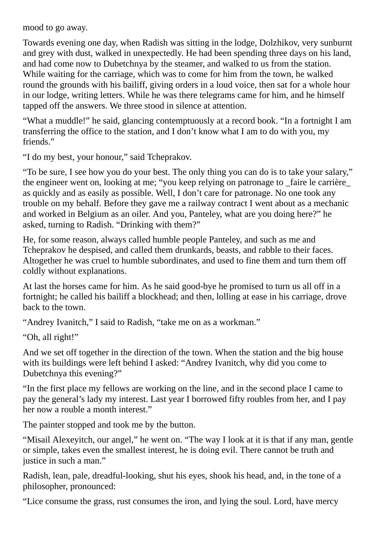mood to go away.

Towards evening one day, when Radish was sitting in the lodge, Dolzhikov, very sunburnt and grey with dust, walked in unexpectedly. He had been spending three days on his land, and had come now to Dubetchnya by the steamer, and walked to us from the station. While waiting for the carriage, which was to come for him from the town, he walked round the grounds with his bailiff, giving orders in a loud voice, then sat for a whole hour in our lodge, writing letters. While he was there telegrams came for him, and he himself tapped off the answers. We three stood in silence at attention.

"What a muddle!" he said, glancing contemptuously at a record book. "In a fortnight I am transferring the office to the station, and I don't know what I am to do with you, my friends."

"I do my best, your honour," said Tcheprakov.

"To be sure, I see how you do your best. The only thing you can do is to take your salary," the engineer went on, looking at me; "you keep relying on patronage to \_faire le carrière\_ as quickly and as easily as possible. Well, I don't care for patronage. No one took any trouble on my behalf. Before they gave me a railway contract I went about as a mechanic and worked in Belgium as an oiler. And you, Panteley, what are you doing here?" he asked, turning to Radish. "Drinking with them?"

He, for some reason, always called humble people Panteley, and such as me and Tcheprakov he despised, and called them drunkards, beasts, and rabble to their faces. Altogether he was cruel to humble subordinates, and used to fine them and turn them off coldly without explanations.

At last the horses came for him. As he said good-bye he promised to turn us all off in a fortnight; he called his bailiff a blockhead; and then, lolling at ease in his carriage, drove back to the town.

"Andrey Ivanitch," I said to Radish, "take me on as a workman."

"Oh, all right!"

And we set off together in the direction of the town. When the station and the big house with its buildings were left behind I asked: "Andrey Ivanitch, why did you come to Dubetchnya this evening?"

"In the first place my fellows are working on the line, and in the second place I came to pay the general's lady my interest. Last year I borrowed fifty roubles from her, and I pay her now a rouble a month interest."

The painter stopped and took me by the button.

"Misail Alexeyitch, our angel," he went on. "The way I look at it is that if any man, gentle or simple, takes even the smallest interest, he is doing evil. There cannot be truth and justice in such a man."

Radish, lean, pale, dreadful-looking, shut his eyes, shook his head, and, in the tone of a philosopher, pronounced:

"Lice consume the grass, rust consumes the iron, and lying the soul. Lord, have mercy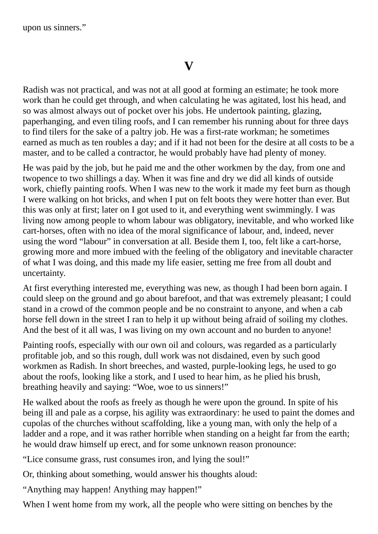upon us sinners."

Radish was not practical, and was not at all good at forming an estimate; he took more work than he could get through, and when calculating he was agitated, lost his head, and so was almost always out of pocket over his jobs. He undertook painting, glazing, paperhanging, and even tiling roofs, and I can remember his running about for three days to find tilers for the sake of a paltry job. He was a first-rate workman; he sometimes earned as much as ten roubles a day; and if it had not been for the desire at all costs to be a master, and to be called a contractor, he would probably have had plenty of money.

He was paid by the job, but he paid me and the other workmen by the day, from one and twopence to two shillings a day. When it was fine and dry we did all kinds of outside work, chiefly painting roofs. When I was new to the work it made my feet burn as though I were walking on hot bricks, and when I put on felt boots they were hotter than ever. But this was only at first; later on I got used to it, and everything went swimmingly. I was living now among people to whom labour was obligatory, inevitable, and who worked like cart-horses, often with no idea of the moral significance of labour, and, indeed, never using the word "labour" in conversation at all. Beside them I, too, felt like a cart-horse, growing more and more imbued with the feeling of the obligatory and inevitable character of what I was doing, and this made my life easier, setting me free from all doubt and uncertainty.

At first everything interested me, everything was new, as though I had been born again. I could sleep on the ground and go about barefoot, and that was extremely pleasant; I could stand in a crowd of the common people and be no constraint to anyone, and when a cab horse fell down in the street I ran to help it up without being afraid of soiling my clothes. And the best of it all was, I was living on my own account and no burden to anyone!

Painting roofs, especially with our own oil and colours, was regarded as a particularly profitable job, and so this rough, dull work was not disdained, even by such good workmen as Radish. In short breeches, and wasted, purple-looking legs, he used to go about the roofs, looking like a stork, and I used to hear him, as he plied his brush, breathing heavily and saying: "Woe, woe to us sinners!"

He walked about the roofs as freely as though he were upon the ground. In spite of his being ill and pale as a corpse, his agility was extraordinary: he used to paint the domes and cupolas of the churches without scaffolding, like a young man, with only the help of a ladder and a rope, and it was rather horrible when standing on a height far from the earth; he would draw himself up erect, and for some unknown reason pronounce:

"Lice consume grass, rust consumes iron, and lying the soul!"

Or, thinking about something, would answer his thoughts aloud:

"Anything may happen! Anything may happen!"

When I went home from my work, all the people who were sitting on benches by the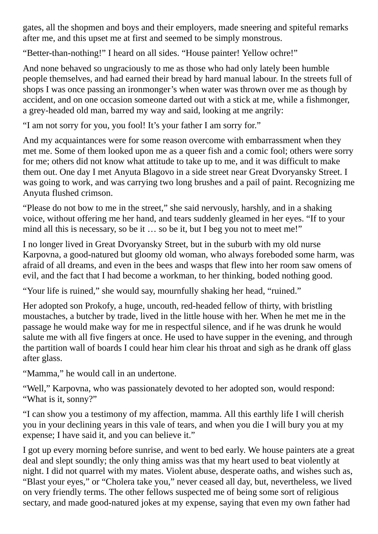gates, all the shopmen and boys and their employers, made sneering and spiteful remarks after me, and this upset me at first and seemed to be simply monstrous.

"Better-than-nothing!" I heard on all sides. "House painter! Yellow ochre!"

And none behaved so ungraciously to me as those who had only lately been humble people themselves, and had earned their bread by hard manual labour. In the streets full of shops I was once passing an ironmonger's when water was thrown over me as though by accident, and on one occasion someone darted out with a stick at me, while a fishmonger, a grey-headed old man, barred my way and said, looking at me angrily:

"I am not sorry for you, you fool! It's your father I am sorry for."

And my acquaintances were for some reason overcome with embarrassment when they met me. Some of them looked upon me as a queer fish and a comic fool; others were sorry for me; others did not know what attitude to take up to me, and it was difficult to make them out. One day I met Anyuta Blagovo in a side street near Great Dvoryansky Street. I was going to work, and was carrying two long brushes and a pail of paint. Recognizing me Anyuta flushed crimson.

"Please do not bow to me in the street," she said nervously, harshly, and in a shaking voice, without offering me her hand, and tears suddenly gleamed in her eyes. "If to your mind all this is necessary, so be it ... so be it, but I beg you not to meet me!"

I no longer lived in Great Dvoryansky Street, but in the suburb with my old nurse Karpovna, a good-natured but gloomy old woman, who always foreboded some harm, was afraid of all dreams, and even in the bees and wasps that flew into her room saw omens of evil, and the fact that I had become a workman, to her thinking, boded nothing good.

"Your life is ruined," she would say, mournfully shaking her head, "ruined."

Her adopted son Prokofy, a huge, uncouth, red-headed fellow of thirty, with bristling moustaches, a butcher by trade, lived in the little house with her. When he met me in the passage he would make way for me in respectful silence, and if he was drunk he would salute me with all five fingers at once. He used to have supper in the evening, and through the partition wall of boards I could hear him clear his throat and sigh as he drank off glass after glass.

"Mamma," he would call in an undertone.

"Well," Karpovna, who was passionately devoted to her adopted son, would respond: "What is it, sonny?"

"I can show you a testimony of my affection, mamma. All this earthly life I will cherish you in your declining years in this vale of tears, and when you die I will bury you at my expense; I have said it, and you can believe it."

I got up every morning before sunrise, and went to bed early. We house painters ate a great deal and slept soundly; the only thing amiss was that my heart used to beat violently at night. I did not quarrel with my mates. Violent abuse, desperate oaths, and wishes such as, "Blast your eyes," or "Cholera take you," never ceased all day, but, nevertheless, we lived on very friendly terms. The other fellows suspected me of being some sort of religious sectary, and made good-natured jokes at my expense, saying that even my own father had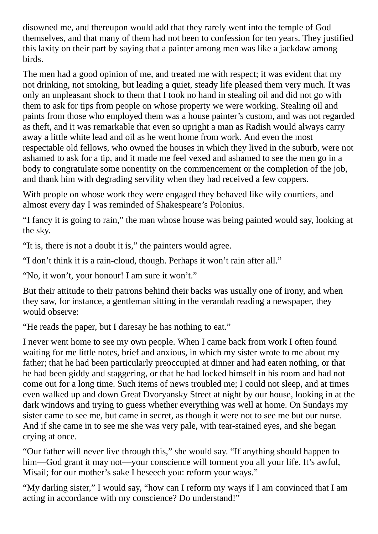disowned me, and thereupon would add that they rarely went into the temple of God themselves, and that many of them had not been to confession for ten years. They justified this laxity on their part by saying that a painter among men was like a jackdaw among birds.

The men had a good opinion of me, and treated me with respect; it was evident that my not drinking, not smoking, but leading a quiet, steady life pleased them very much. It was only an unpleasant shock to them that I took no hand in stealing oil and did not go with them to ask for tips from people on whose property we were working. Stealing oil and paints from those who employed them was a house painter's custom, and was not regarded as theft, and it was remarkable that even so upright a man as Radish would always carry away a little white lead and oil as he went home from work. And even the most respectable old fellows, who owned the houses in which they lived in the suburb, were not ashamed to ask for a tip, and it made me feel vexed and ashamed to see the men go in a body to congratulate some nonentity on the commencement or the completion of the job, and thank him with degrading servility when they had received a few coppers.

With people on whose work they were engaged they behaved like wily courtiers, and almost every day I was reminded of Shakespeare's Polonius.

"I fancy it is going to rain," the man whose house was being painted would say, looking at the sky.

"It is, there is not a doubt it is," the painters would agree.

"I don't think it is a rain-cloud, though. Perhaps it won't rain after all."

"No, it won't, your honour! I am sure it won't."

But their attitude to their patrons behind their backs was usually one of irony, and when they saw, for instance, a gentleman sitting in the verandah reading a newspaper, they would observe:

"He reads the paper, but I daresay he has nothing to eat."

I never went home to see my own people. When I came back from work I often found waiting for me little notes, brief and anxious, in which my sister wrote to me about my father; that he had been particularly preoccupied at dinner and had eaten nothing, or that he had been giddy and staggering, or that he had locked himself in his room and had not come out for a long time. Such items of news troubled me; I could not sleep, and at times even walked up and down Great Dvoryansky Street at night by our house, looking in at the dark windows and trying to guess whether everything was well at home. On Sundays my sister came to see me, but came in secret, as though it were not to see me but our nurse. And if she came in to see me she was very pale, with tear-stained eyes, and she began crying at once.

"Our father will never live through this," she would say. "If anything should happen to him—God grant it may not—your conscience will torment you all your life. It's awful, Misail; for our mother's sake I beseech you: reform your ways."

"My darling sister," I would say, "how can I reform my ways if I am convinced that I am acting in accordance with my conscience? Do understand!"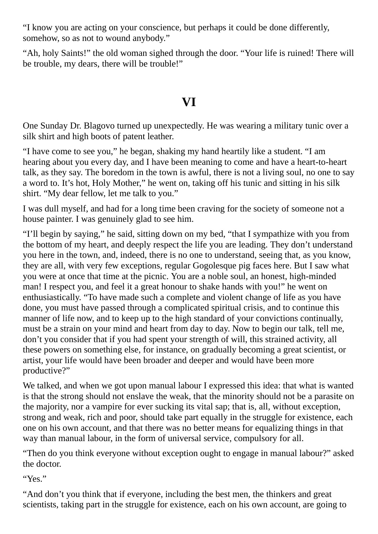"I know you are acting on your conscience, but perhaps it could be done differently, somehow, so as not to wound anybody."

"Ah, holy Saints!" the old woman sighed through the door. "Your life is ruined! There will be trouble, my dears, there will be trouble!"

# **VI**

One Sunday Dr. Blagovo turned up unexpectedly. He was wearing a military tunic over a silk shirt and high boots of patent leather.

"I have come to see you," he began, shaking my hand heartily like a student. "I am hearing about you every day, and I have been meaning to come and have a heart-to-heart talk, as they say. The boredom in the town is awful, there is not a living soul, no one to say a word to. It's hot, Holy Mother," he went on, taking off his tunic and sitting in his silk shirt. "My dear fellow, let me talk to you."

I was dull myself, and had for a long time been craving for the society of someone not a house painter. I was genuinely glad to see him.

"I'll begin by saying," he said, sitting down on my bed, "that I sympathize with you from the bottom of my heart, and deeply respect the life you are leading. They don't understand you here in the town, and, indeed, there is no one to understand, seeing that, as you know, they are all, with very few exceptions, regular Gogolesque pig faces here. But I saw what you were at once that time at the picnic. You are a noble soul, an honest, high-minded man! I respect you, and feel it a great honour to shake hands with you!" he went on enthusiastically. "To have made such a complete and violent change of life as you have done, you must have passed through a complicated spiritual crisis, and to continue this manner of life now, and to keep up to the high standard of your convictions continually, must be a strain on your mind and heart from day to day. Now to begin our talk, tell me, don't you consider that if you had spent your strength of will, this strained activity, all these powers on something else, for instance, on gradually becoming a great scientist, or artist, your life would have been broader and deeper and would have been more productive?"

We talked, and when we got upon manual labour I expressed this idea: that what is wanted is that the strong should not enslave the weak, that the minority should not be a parasite on the majority, nor a vampire for ever sucking its vital sap; that is, all, without exception, strong and weak, rich and poor, should take part equally in the struggle for existence, each one on his own account, and that there was no better means for equalizing things in that way than manual labour, in the form of universal service, compulsory for all.

"Then do you think everyone without exception ought to engage in manual labour?" asked the doctor.

" $V_{\text{P}S}$ "

"And don't you think that if everyone, including the best men, the thinkers and great scientists, taking part in the struggle for existence, each on his own account, are going to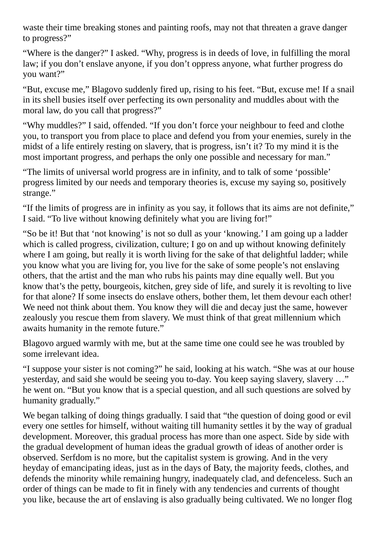waste their time breaking stones and painting roofs, may not that threaten a grave danger to progress?"

"Where is the danger?" I asked. "Why, progress is in deeds of love, in fulfilling the moral law; if you don't enslave anyone, if you don't oppress anyone, what further progress do you want?"

"But, excuse me," Blagovo suddenly fired up, rising to his feet. "But, excuse me! If a snail in its shell busies itself over perfecting its own personality and muddles about with the moral law, do you call that progress?"

"Why muddles?" I said, offended. "If you don't force your neighbour to feed and clothe you, to transport you from place to place and defend you from your enemies, surely in the midst of a life entirely resting on slavery, that is progress, isn't it? To my mind it is the most important progress, and perhaps the only one possible and necessary for man."

"The limits of universal world progress are in infinity, and to talk of some 'possible' progress limited by our needs and temporary theories is, excuse my saying so, positively strange."

"If the limits of progress are in infinity as you say, it follows that its aims are not definite," I said. "To live without knowing definitely what you are living for!"

"So be it! But that 'not knowing' is not so dull as your 'knowing.' I am going up a ladder which is called progress, civilization, culture; I go on and up without knowing definitely where I am going, but really it is worth living for the sake of that delightful ladder; while you know what you are living for, you live for the sake of some people's not enslaving others, that the artist and the man who rubs his paints may dine equally well. But you know that's the petty, bourgeois, kitchen, grey side of life, and surely it is revolting to live for that alone? If some insects do enslave others, bother them, let them devour each other! We need not think about them. You know they will die and decay just the same, however zealously you rescue them from slavery. We must think of that great millennium which awaits humanity in the remote future."

Blagovo argued warmly with me, but at the same time one could see he was troubled by some irrelevant idea.

"I suppose your sister is not coming?" he said, looking at his watch. "She was at our house yesterday, and said she would be seeing you to-day. You keep saying slavery, slavery …" he went on. "But you know that is a special question, and all such questions are solved by humanity gradually."

We began talking of doing things gradually. I said that "the question of doing good or evil every one settles for himself, without waiting till humanity settles it by the way of gradual development. Moreover, this gradual process has more than one aspect. Side by side with the gradual development of human ideas the gradual growth of ideas of another order is observed. Serfdom is no more, but the capitalist system is growing. And in the very heyday of emancipating ideas, just as in the days of Baty, the majority feeds, clothes, and defends the minority while remaining hungry, inadequately clad, and defenceless. Such an order of things can be made to fit in finely with any tendencies and currents of thought you like, because the art of enslaving is also gradually being cultivated. We no longer flog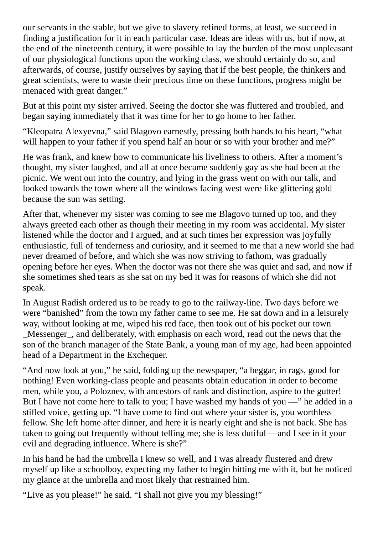our servants in the stable, but we give to slavery refined forms, at least, we succeed in finding a justification for it in each particular case. Ideas are ideas with us, but if now, at the end of the nineteenth century, it were possible to lay the burden of the most unpleasant of our physiological functions upon the working class, we should certainly do so, and afterwards, of course, justify ourselves by saying that if the best people, the thinkers and great scientists, were to waste their precious time on these functions, progress might be menaced with great danger."

But at this point my sister arrived. Seeing the doctor she was fluttered and troubled, and began saying immediately that it was time for her to go home to her father.

"Kleopatra Alexyevna," said Blagovo earnestly, pressing both hands to his heart, "what will happen to your father if you spend half an hour or so with your brother and me?"

He was frank, and knew how to communicate his liveliness to others. After a moment's thought, my sister laughed, and all at once became suddenly gay as she had been at the picnic. We went out into the country, and lying in the grass went on with our talk, and looked towards the town where all the windows facing west were like glittering gold because the sun was setting.

After that, whenever my sister was coming to see me Blagovo turned up too, and they always greeted each other as though their meeting in my room was accidental. My sister listened while the doctor and I argued, and at such times her expression was joyfully enthusiastic, full of tenderness and curiosity, and it seemed to me that a new world she had never dreamed of before, and which she was now striving to fathom, was gradually opening before her eyes. When the doctor was not there she was quiet and sad, and now if she sometimes shed tears as she sat on my bed it was for reasons of which she did not speak.

In August Radish ordered us to be ready to go to the railway-line. Two days before we were "banished" from the town my father came to see me. He sat down and in a leisurely way, without looking at me, wiped his red face, then took out of his pocket our town Messenger, and deliberately, with emphasis on each word, read out the news that the son of the branch manager of the State Bank, a young man of my age, had been appointed head of a Department in the Exchequer.

"And now look at you," he said, folding up the newspaper, "a beggar, in rags, good for nothing! Even working-class people and peasants obtain education in order to become men, while you, a Poloznev, with ancestors of rank and distinction, aspire to the gutter! But I have not come here to talk to you; I have washed my hands of you —" he added in a stifled voice, getting up. "I have come to find out where your sister is, you worthless fellow. She left home after dinner, and here it is nearly eight and she is not back. She has taken to going out frequently without telling me; she is less dutiful —and I see in it your evil and degrading influence. Where is she?"

In his hand he had the umbrella I knew so well, and I was already flustered and drew myself up like a schoolboy, expecting my father to begin hitting me with it, but he noticed my glance at the umbrella and most likely that restrained him.

"Live as you please!" he said. "I shall not give you my blessing!"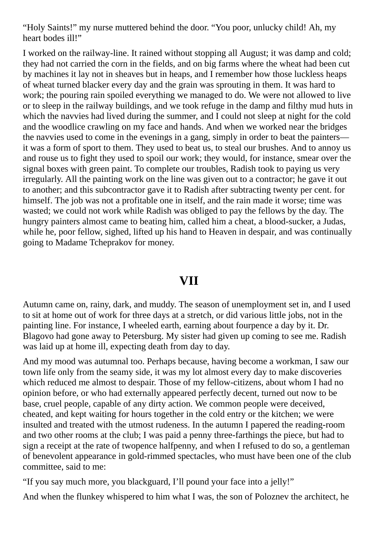"Holy Saints!" my nurse muttered behind the door. "You poor, unlucky child! Ah, my heart bodes ill!"

I worked on the railway-line. It rained without stopping all August; it was damp and cold; they had not carried the corn in the fields, and on big farms where the wheat had been cut by machines it lay not in sheaves but in heaps, and I remember how those luckless heaps of wheat turned blacker every day and the grain was sprouting in them. It was hard to work; the pouring rain spoiled everything we managed to do. We were not allowed to live or to sleep in the railway buildings, and we took refuge in the damp and filthy mud huts in which the navvies had lived during the summer, and I could not sleep at night for the cold and the woodlice crawling on my face and hands. And when we worked near the bridges the navvies used to come in the evenings in a gang, simply in order to beat the painters it was a form of sport to them. They used to beat us, to steal our brushes. And to annoy us and rouse us to fight they used to spoil our work; they would, for instance, smear over the signal boxes with green paint. To complete our troubles, Radish took to paying us very irregularly. All the painting work on the line was given out to a contractor; he gave it out to another; and this subcontractor gave it to Radish after subtracting twenty per cent. for himself. The job was not a profitable one in itself, and the rain made it worse; time was wasted; we could not work while Radish was obliged to pay the fellows by the day. The hungry painters almost came to beating him, called him a cheat, a blood-sucker, a Judas, while he, poor fellow, sighed, lifted up his hand to Heaven in despair, and was continually going to Madame Tcheprakov for money.

### **VII**

Autumn came on, rainy, dark, and muddy. The season of unemployment set in, and I used to sit at home out of work for three days at a stretch, or did various little jobs, not in the painting line. For instance, I wheeled earth, earning about fourpence a day by it. Dr. Blagovo had gone away to Petersburg. My sister had given up coming to see me. Radish was laid up at home ill, expecting death from day to day.

And my mood was autumnal too. Perhaps because, having become a workman, I saw our town life only from the seamy side, it was my lot almost every day to make discoveries which reduced me almost to despair. Those of my fellow-citizens, about whom I had no opinion before, or who had externally appeared perfectly decent, turned out now to be base, cruel people, capable of any dirty action. We common people were deceived, cheated, and kept waiting for hours together in the cold entry or the kitchen; we were insulted and treated with the utmost rudeness. In the autumn I papered the reading-room and two other rooms at the club; I was paid a penny three-farthings the piece, but had to sign a receipt at the rate of twopence halfpenny, and when I refused to do so, a gentleman of benevolent appearance in gold-rimmed spectacles, who must have been one of the club committee, said to me:

"If you say much more, you blackguard, I'll pound your face into a jelly!"

And when the flunkey whispered to him what I was, the son of Poloznev the architect, he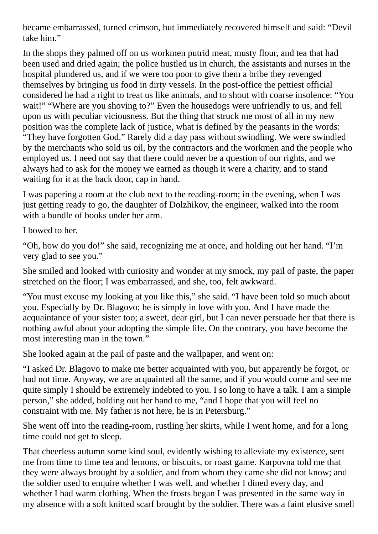became embarrassed, turned crimson, but immediately recovered himself and said: "Devil take him."

In the shops they palmed off on us workmen putrid meat, musty flour, and tea that had been used and dried again; the police hustled us in church, the assistants and nurses in the hospital plundered us, and if we were too poor to give them a bribe they revenged themselves by bringing us food in dirty vessels. In the post-office the pettiest official considered he had a right to treat us like animals, and to shout with coarse insolence: "You wait!" "Where are you shoving to?" Even the housedogs were unfriendly to us, and fell upon us with peculiar viciousness. But the thing that struck me most of all in my new position was the complete lack of justice, what is defined by the peasants in the words: "They have forgotten God." Rarely did a day pass without swindling. We were swindled by the merchants who sold us oil, by the contractors and the workmen and the people who employed us. I need not say that there could never be a question of our rights, and we always had to ask for the money we earned as though it were a charity, and to stand waiting for it at the back door, cap in hand.

I was papering a room at the club next to the reading-room; in the evening, when I was just getting ready to go, the daughter of Dolzhikov, the engineer, walked into the room with a bundle of books under her arm.

I bowed to her.

"Oh, how do you do!" she said, recognizing me at once, and holding out her hand. "I'm very glad to see you."

She smiled and looked with curiosity and wonder at my smock, my pail of paste, the paper stretched on the floor; I was embarrassed, and she, too, felt awkward.

"You must excuse my looking at you like this," she said. "I have been told so much about you. Especially by Dr. Blagovo; he is simply in love with you. And I have made the acquaintance of your sister too; a sweet, dear girl, but I can never persuade her that there is nothing awful about your adopting the simple life. On the contrary, you have become the most interesting man in the town."

She looked again at the pail of paste and the wallpaper, and went on:

"I asked Dr. Blagovo to make me better acquainted with you, but apparently he forgot, or had not time. Anyway, we are acquainted all the same, and if you would come and see me quite simply I should be extremely indebted to you. I so long to have a talk. I am a simple person," she added, holding out her hand to me, "and I hope that you will feel no constraint with me. My father is not here, he is in Petersburg."

She went off into the reading-room, rustling her skirts, while I went home, and for a long time could not get to sleep.

That cheerless autumn some kind soul, evidently wishing to alleviate my existence, sent me from time to time tea and lemons, or biscuits, or roast game. Karpovna told me that they were always brought by a soldier, and from whom they came she did not know; and the soldier used to enquire whether I was well, and whether I dined every day, and whether I had warm clothing. When the frosts began I was presented in the same way in my absence with a soft knitted scarf brought by the soldier. There was a faint elusive smell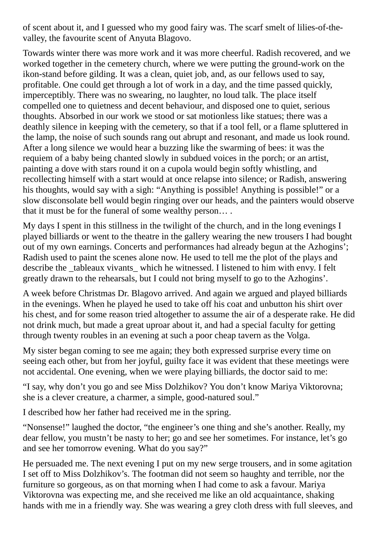of scent about it, and I guessed who my good fairy was. The scarf smelt of lilies-of-thevalley, the favourite scent of Anyuta Blagovo.

Towards winter there was more work and it was more cheerful. Radish recovered, and we worked together in the cemetery church, where we were putting the ground-work on the ikon-stand before gilding. It was a clean, quiet job, and, as our fellows used to say, profitable. One could get through a lot of work in a day, and the time passed quickly, imperceptibly. There was no swearing, no laughter, no loud talk. The place itself compelled one to quietness and decent behaviour, and disposed one to quiet, serious thoughts. Absorbed in our work we stood or sat motionless like statues; there was a deathly silence in keeping with the cemetery, so that if a tool fell, or a flame spluttered in the lamp, the noise of such sounds rang out abrupt and resonant, and made us look round. After a long silence we would hear a buzzing like the swarming of bees: it was the requiem of a baby being chanted slowly in subdued voices in the porch; or an artist, painting a dove with stars round it on a cupola would begin softly whistling, and recollecting himself with a start would at once relapse into silence; or Radish, answering his thoughts, would say with a sigh: "Anything is possible! Anything is possible!" or a slow disconsolate bell would begin ringing over our heads, and the painters would observe that it must be for the funeral of some wealthy person… .

My days I spent in this stillness in the twilight of the church, and in the long evenings I played billiards or went to the theatre in the gallery wearing the new trousers I had bought out of my own earnings. Concerts and performances had already begun at the Azhogins'; Radish used to paint the scenes alone now. He used to tell me the plot of the plays and describe the \_tableaux vivants \_ which he witnessed. I listened to him with envy. I felt greatly drawn to the rehearsals, but I could not bring myself to go to the Azhogins'.

A week before Christmas Dr. Blagovo arrived. And again we argued and played billiards in the evenings. When he played he used to take off his coat and unbutton his shirt over his chest, and for some reason tried altogether to assume the air of a desperate rake. He did not drink much, but made a great uproar about it, and had a special faculty for getting through twenty roubles in an evening at such a poor cheap tavern as the Volga.

My sister began coming to see me again; they both expressed surprise every time on seeing each other, but from her joyful, guilty face it was evident that these meetings were not accidental. One evening, when we were playing billiards, the doctor said to me:

"I say, why don't you go and see Miss Dolzhikov? You don't know Mariya Viktorovna; she is a clever creature, a charmer, a simple, good-natured soul."

I described how her father had received me in the spring.

"Nonsense!" laughed the doctor, "the engineer's one thing and she's another. Really, my dear fellow, you mustn't be nasty to her; go and see her sometimes. For instance, let's go and see her tomorrow evening. What do you say?"

He persuaded me. The next evening I put on my new serge trousers, and in some agitation I set off to Miss Dolzhikov's. The footman did not seem so haughty and terrible, nor the furniture so gorgeous, as on that morning when I had come to ask a favour. Mariya Viktorovna was expecting me, and she received me like an old acquaintance, shaking hands with me in a friendly way. She was wearing a grey cloth dress with full sleeves, and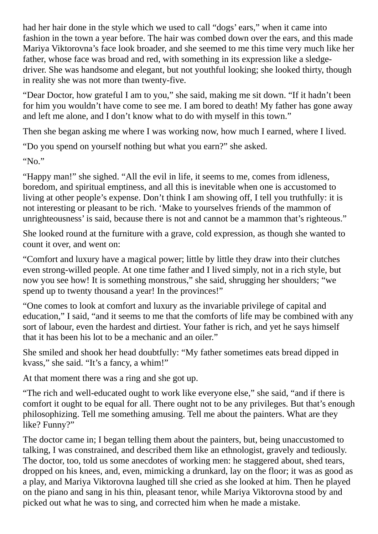had her hair done in the style which we used to call "dogs' ears," when it came into fashion in the town a year before. The hair was combed down over the ears, and this made Mariya Viktorovna's face look broader, and she seemed to me this time very much like her father, whose face was broad and red, with something in its expression like a sledgedriver. She was handsome and elegant, but not youthful looking; she looked thirty, though in reality she was not more than twenty-five.

"Dear Doctor, how grateful I am to you," she said, making me sit down. "If it hadn't been for him you wouldn't have come to see me. I am bored to death! My father has gone away and left me alone, and I don't know what to do with myself in this town."

Then she began asking me where I was working now, how much I earned, where I lived.

"Do you spend on yourself nothing but what you earn?" she asked.

"No."

"Happy man!" she sighed. "All the evil in life, it seems to me, comes from idleness, boredom, and spiritual emptiness, and all this is inevitable when one is accustomed to living at other people's expense. Don't think I am showing off, I tell you truthfully: it is not interesting or pleasant to be rich. 'Make to yourselves friends of the mammon of unrighteousness' is said, because there is not and cannot be a mammon that's righteous."

She looked round at the furniture with a grave, cold expression, as though she wanted to count it over, and went on:

"Comfort and luxury have a magical power; little by little they draw into their clutches even strong-willed people. At one time father and I lived simply, not in a rich style, but now you see how! It is something monstrous," she said, shrugging her shoulders; "we spend up to twenty thousand a year! In the provinces!"

"One comes to look at comfort and luxury as the invariable privilege of capital and education," I said, "and it seems to me that the comforts of life may be combined with any sort of labour, even the hardest and dirtiest. Your father is rich, and yet he says himself that it has been his lot to be a mechanic and an oiler."

She smiled and shook her head doubtfully: "My father sometimes eats bread dipped in kvass," she said. "It's a fancy, a whim!"

At that moment there was a ring and she got up.

"The rich and well-educated ought to work like everyone else," she said, "and if there is comfort it ought to be equal for all. There ought not to be any privileges. But that's enough philosophizing. Tell me something amusing. Tell me about the painters. What are they like? Funny?"

The doctor came in; I began telling them about the painters, but, being unaccustomed to talking, I was constrained, and described them like an ethnologist, gravely and tediously. The doctor, too, told us some anecdotes of working men: he staggered about, shed tears, dropped on his knees, and, even, mimicking a drunkard, lay on the floor; it was as good as a play, and Mariya Viktorovna laughed till she cried as she looked at him. Then he played on the piano and sang in his thin, pleasant tenor, while Mariya Viktorovna stood by and picked out what he was to sing, and corrected him when he made a mistake.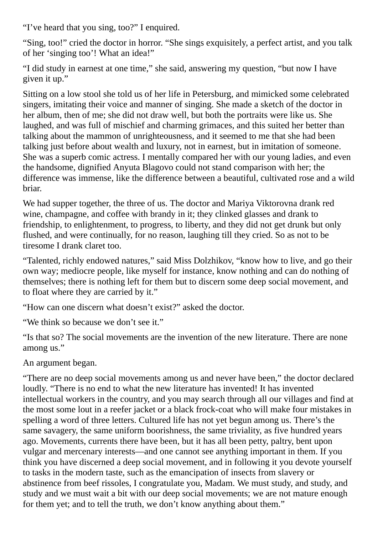"I've heard that you sing, too?" I enquired.

"Sing, too!" cried the doctor in horror. "She sings exquisitely, a perfect artist, and you talk of her 'singing too'! What an idea!"

"I did study in earnest at one time," she said, answering my question, "but now I have given it up."

Sitting on a low stool she told us of her life in Petersburg, and mimicked some celebrated singers, imitating their voice and manner of singing. She made a sketch of the doctor in her album, then of me; she did not draw well, but both the portraits were like us. She laughed, and was full of mischief and charming grimaces, and this suited her better than talking about the mammon of unrighteousness, and it seemed to me that she had been talking just before about wealth and luxury, not in earnest, but in imitation of someone. She was a superb comic actress. I mentally compared her with our young ladies, and even the handsome, dignified Anyuta Blagovo could not stand comparison with her; the difference was immense, like the difference between a beautiful, cultivated rose and a wild briar.

We had supper together, the three of us. The doctor and Mariya Viktorovna drank red wine, champagne, and coffee with brandy in it; they clinked glasses and drank to friendship, to enlightenment, to progress, to liberty, and they did not get drunk but only flushed, and were continually, for no reason, laughing till they cried. So as not to be tiresome I drank claret too.

"Talented, richly endowed natures," said Miss Dolzhikov, "know how to live, and go their own way; mediocre people, like myself for instance, know nothing and can do nothing of themselves; there is nothing left for them but to discern some deep social movement, and to float where they are carried by it."

"How can one discern what doesn't exist?" asked the doctor.

"We think so because we don't see it."

"Is that so? The social movements are the invention of the new literature. There are none among us."

An argument began.

"There are no deep social movements among us and never have been," the doctor declared loudly. "There is no end to what the new literature has invented! It has invented intellectual workers in the country, and you may search through all our villages and find at the most some lout in a reefer jacket or a black frock-coat who will make four mistakes in spelling a word of three letters. Cultured life has not yet begun among us. There's the same savagery, the same uniform boorishness, the same triviality, as five hundred years ago. Movements, currents there have been, but it has all been petty, paltry, bent upon vulgar and mercenary interests—and one cannot see anything important in them. If you think you have discerned a deep social movement, and in following it you devote yourself to tasks in the modern taste, such as the emancipation of insects from slavery or abstinence from beef rissoles, I congratulate you, Madam. We must study, and study, and study and we must wait a bit with our deep social movements; we are not mature enough for them yet; and to tell the truth, we don't know anything about them."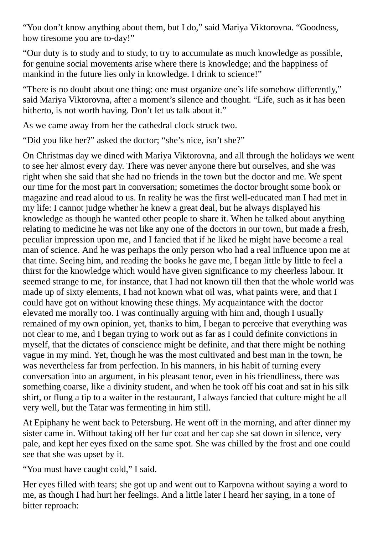"You don't know anything about them, but I do," said Mariya Viktorovna. "Goodness, how tiresome you are to-day!"

"Our duty is to study and to study, to try to accumulate as much knowledge as possible, for genuine social movements arise where there is knowledge; and the happiness of mankind in the future lies only in knowledge. I drink to science!"

"There is no doubt about one thing: one must organize one's life somehow differently," said Mariya Viktorovna, after a moment's silence and thought. "Life, such as it has been hitherto, is not worth having. Don't let us talk about it."

As we came away from her the cathedral clock struck two.

"Did you like her?" asked the doctor; "she's nice, isn't she?"

On Christmas day we dined with Mariya Viktorovna, and all through the holidays we went to see her almost every day. There was never anyone there but ourselves, and she was right when she said that she had no friends in the town but the doctor and me. We spent our time for the most part in conversation; sometimes the doctor brought some book or magazine and read aloud to us. In reality he was the first well-educated man I had met in my life: I cannot judge whether he knew a great deal, but he always displayed his knowledge as though he wanted other people to share it. When he talked about anything relating to medicine he was not like any one of the doctors in our town, but made a fresh, peculiar impression upon me, and I fancied that if he liked he might have become a real man of science. And he was perhaps the only person who had a real influence upon me at that time. Seeing him, and reading the books he gave me, I began little by little to feel a thirst for the knowledge which would have given significance to my cheerless labour. It seemed strange to me, for instance, that I had not known till then that the whole world was made up of sixty elements, I had not known what oil was, what paints were, and that I could have got on without knowing these things. My acquaintance with the doctor elevated me morally too. I was continually arguing with him and, though I usually remained of my own opinion, yet, thanks to him, I began to perceive that everything was not clear to me, and I began trying to work out as far as I could definite convictions in myself, that the dictates of conscience might be definite, and that there might be nothing vague in my mind. Yet, though he was the most cultivated and best man in the town, he was nevertheless far from perfection. In his manners, in his habit of turning every conversation into an argument, in his pleasant tenor, even in his friendliness, there was something coarse, like a divinity student, and when he took off his coat and sat in his silk shirt, or flung a tip to a waiter in the restaurant, I always fancied that culture might be all very well, but the Tatar was fermenting in him still.

At Epiphany he went back to Petersburg. He went off in the morning, and after dinner my sister came in. Without taking off her fur coat and her cap she sat down in silence, very pale, and kept her eyes fixed on the same spot. She was chilled by the frost and one could see that she was upset by it.

"You must have caught cold," I said.

Her eyes filled with tears; she got up and went out to Karpovna without saying a word to me, as though I had hurt her feelings. And a little later I heard her saying, in a tone of bitter reproach: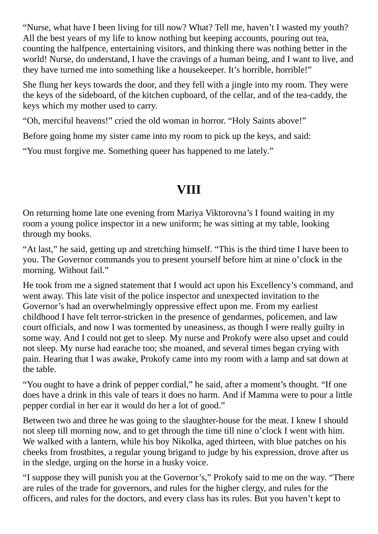"Nurse, what have I been living for till now? What? Tell me, haven't I wasted my youth? All the best years of my life to know nothing but keeping accounts, pouring out tea, counting the halfpence, entertaining visitors, and thinking there was nothing better in the world! Nurse, do understand, I have the cravings of a human being, and I want to live, and they have turned me into something like a housekeeper. It's horrible, horrible!"

She flung her keys towards the door, and they fell with a jingle into my room. They were the keys of the sideboard, of the kitchen cupboard, of the cellar, and of the tea-caddy, the keys which my mother used to carry.

"Oh, merciful heavens!" cried the old woman in horror. "Holy Saints above!"

Before going home my sister came into my room to pick up the keys, and said:

"You must forgive me. Something queer has happened to me lately."

# **VIII**

On returning home late one evening from Mariya Viktorovna's I found waiting in my room a young police inspector in a new uniform; he was sitting at my table, looking through my books.

"At last," he said, getting up and stretching himself. "This is the third time I have been to you. The Governor commands you to present yourself before him at nine o'clock in the morning. Without fail."

He took from me a signed statement that I would act upon his Excellency's command, and went away. This late visit of the police inspector and unexpected invitation to the Governor's had an overwhelmingly oppressive effect upon me. From my earliest childhood I have felt terror-stricken in the presence of gendarmes, policemen, and law court officials, and now I was tormented by uneasiness, as though I were really guilty in some way. And I could not get to sleep. My nurse and Prokofy were also upset and could not sleep. My nurse had earache too; she moaned, and several times began crying with pain. Hearing that I was awake, Prokofy came into my room with a lamp and sat down at the table.

"You ought to have a drink of pepper cordial," he said, after a moment's thought. "If one does have a drink in this vale of tears it does no harm. And if Mamma were to pour a little pepper cordial in her ear it would do her a lot of good."

Between two and three he was going to the slaughter-house for the meat. I knew I should not sleep till morning now, and to get through the time till nine o'clock I went with him. We walked with a lantern, while his boy Nikolka, aged thirteen, with blue patches on his cheeks from frostbites, a regular young brigand to judge by his expression, drove after us in the sledge, urging on the horse in a husky voice.

"I suppose they will punish you at the Governor's," Prokofy said to me on the way. "There are rules of the trade for governors, and rules for the higher clergy, and rules for the officers, and rules for the doctors, and every class has its rules. But you haven't kept to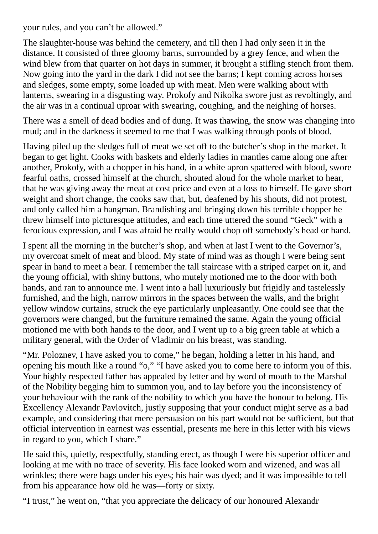your rules, and you can't be allowed."

The slaughter-house was behind the cemetery, and till then I had only seen it in the distance. It consisted of three gloomy barns, surrounded by a grey fence, and when the wind blew from that quarter on hot days in summer, it brought a stifling stench from them. Now going into the yard in the dark I did not see the barns; I kept coming across horses and sledges, some empty, some loaded up with meat. Men were walking about with lanterns, swearing in a disgusting way. Prokofy and Nikolka swore just as revoltingly, and the air was in a continual uproar with swearing, coughing, and the neighing of horses.

There was a smell of dead bodies and of dung. It was thawing, the snow was changing into mud; and in the darkness it seemed to me that I was walking through pools of blood.

Having piled up the sledges full of meat we set off to the butcher's shop in the market. It began to get light. Cooks with baskets and elderly ladies in mantles came along one after another, Prokofy, with a chopper in his hand, in a white apron spattered with blood, swore fearful oaths, crossed himself at the church, shouted aloud for the whole market to hear, that he was giving away the meat at cost price and even at a loss to himself. He gave short weight and short change, the cooks saw that, but, deafened by his shouts, did not protest, and only called him a hangman. Brandishing and bringing down his terrible chopper he threw himself into picturesque attitudes, and each time uttered the sound "Geck" with a ferocious expression, and I was afraid he really would chop off somebody's head or hand.

I spent all the morning in the butcher's shop, and when at last I went to the Governor's, my overcoat smelt of meat and blood. My state of mind was as though I were being sent spear in hand to meet a bear. I remember the tall staircase with a striped carpet on it, and the young official, with shiny buttons, who mutely motioned me to the door with both hands, and ran to announce me. I went into a hall luxuriously but frigidly and tastelessly furnished, and the high, narrow mirrors in the spaces between the walls, and the bright yellow window curtains, struck the eye particularly unpleasantly. One could see that the governors were changed, but the furniture remained the same. Again the young official motioned me with both hands to the door, and I went up to a big green table at which a military general, with the Order of Vladimir on his breast, was standing.

"Mr. Poloznev, I have asked you to come," he began, holding a letter in his hand, and opening his mouth like a round "o," "I have asked you to come here to inform you of this. Your highly respected father has appealed by letter and by word of mouth to the Marshal of the Nobility begging him to summon you, and to lay before you the inconsistency of your behaviour with the rank of the nobility to which you have the honour to belong. His Excellency Alexandr Pavlovitch, justly supposing that your conduct might serve as a bad example, and considering that mere persuasion on his part would not be sufficient, but that official intervention in earnest was essential, presents me here in this letter with his views in regard to you, which I share."

He said this, quietly, respectfully, standing erect, as though I were his superior officer and looking at me with no trace of severity. His face looked worn and wizened, and was all wrinkles; there were bags under his eyes; his hair was dyed; and it was impossible to tell from his appearance how old he was—forty or sixty.

"I trust," he went on, "that you appreciate the delicacy of our honoured Alexandr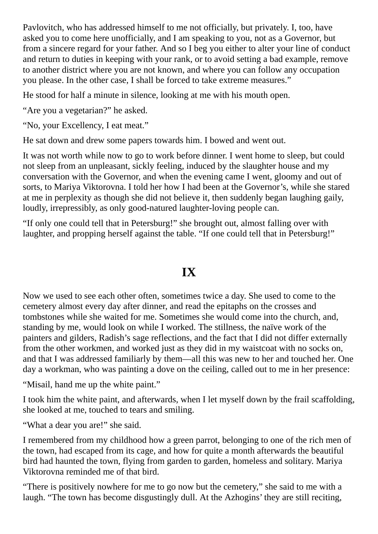Pavlovitch, who has addressed himself to me not officially, but privately. I, too, have asked you to come here unofficially, and I am speaking to you, not as a Governor, but from a sincere regard for your father. And so I beg you either to alter your line of conduct and return to duties in keeping with your rank, or to avoid setting a bad example, remove to another district where you are not known, and where you can follow any occupation you please. In the other case, I shall be forced to take extreme measures."

He stood for half a minute in silence, looking at me with his mouth open.

"Are you a vegetarian?" he asked.

"No, your Excellency, I eat meat."

He sat down and drew some papers towards him. I bowed and went out.

It was not worth while now to go to work before dinner. I went home to sleep, but could not sleep from an unpleasant, sickly feeling, induced by the slaughter house and my conversation with the Governor, and when the evening came I went, gloomy and out of sorts, to Mariya Viktorovna. I told her how I had been at the Governor's, while she stared at me in perplexity as though she did not believe it, then suddenly began laughing gaily, loudly, irrepressibly, as only good-natured laughter-loving people can.

"If only one could tell that in Petersburg!" she brought out, almost falling over with laughter, and propping herself against the table. "If one could tell that in Petersburg!"

### **IX**

Now we used to see each other often, sometimes twice a day. She used to come to the cemetery almost every day after dinner, and read the epitaphs on the crosses and tombstones while she waited for me. Sometimes she would come into the church, and, standing by me, would look on while I worked. The stillness, the naïve work of the painters and gilders, Radish's sage reflections, and the fact that I did not differ externally from the other workmen, and worked just as they did in my waistcoat with no socks on, and that I was addressed familiarly by them—all this was new to her and touched her. One day a workman, who was painting a dove on the ceiling, called out to me in her presence:

"Misail, hand me up the white paint."

I took him the white paint, and afterwards, when I let myself down by the frail scaffolding, she looked at me, touched to tears and smiling.

"What a dear you are!" she said.

I remembered from my childhood how a green parrot, belonging to one of the rich men of the town, had escaped from its cage, and how for quite a month afterwards the beautiful bird had haunted the town, flying from garden to garden, homeless and solitary. Mariya Viktorovna reminded me of that bird.

"There is positively nowhere for me to go now but the cemetery," she said to me with a laugh. "The town has become disgustingly dull. At the Azhogins' they are still reciting,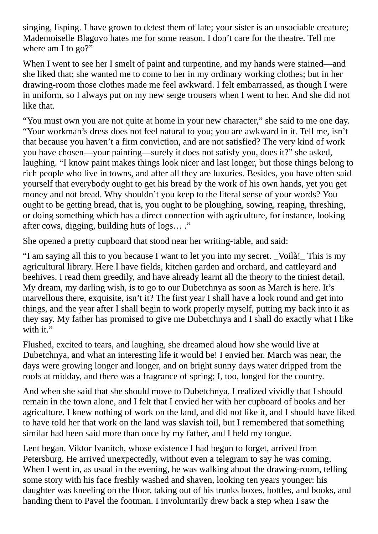singing, lisping. I have grown to detest them of late; your sister is an unsociable creature; Mademoiselle Blagovo hates me for some reason. I don't care for the theatre. Tell me where am I to go?"

When I went to see her I smelt of paint and turpentine, and my hands were stained—and she liked that; she wanted me to come to her in my ordinary working clothes; but in her drawing-room those clothes made me feel awkward. I felt embarrassed, as though I were in uniform, so I always put on my new serge trousers when I went to her. And she did not like that.

"You must own you are not quite at home in your new character," she said to me one day. "Your workman's dress does not feel natural to you; you are awkward in it. Tell me, isn't that because you haven't a firm conviction, and are not satisfied? The very kind of work you have chosen—your painting—surely it does not satisfy you, does it?" she asked, laughing. "I know paint makes things look nicer and last longer, but those things belong to rich people who live in towns, and after all they are luxuries. Besides, you have often said yourself that everybody ought to get his bread by the work of his own hands, yet you get money and not bread. Why shouldn't you keep to the literal sense of your words? You ought to be getting bread, that is, you ought to be ploughing, sowing, reaping, threshing, or doing something which has a direct connection with agriculture, for instance, looking after cows, digging, building huts of logs… ."

She opened a pretty cupboard that stood near her writing-table, and said:

"I am saying all this to you because I want to let you into my secret. \_Voilà!\_ This is my agricultural library. Here I have fields, kitchen garden and orchard, and cattleyard and beehives. I read them greedily, and have already learnt all the theory to the tiniest detail. My dream, my darling wish, is to go to our Dubetchnya as soon as March is here. It's marvellous there, exquisite, isn't it? The first year I shall have a look round and get into things, and the year after I shall begin to work properly myself, putting my back into it as they say. My father has promised to give me Dubetchnya and I shall do exactly what I like with it."

Flushed, excited to tears, and laughing, she dreamed aloud how she would live at Dubetchnya, and what an interesting life it would be! I envied her. March was near, the days were growing longer and longer, and on bright sunny days water dripped from the roofs at midday, and there was a fragrance of spring; I, too, longed for the country.

And when she said that she should move to Dubetchnya, I realized vividly that I should remain in the town alone, and I felt that I envied her with her cupboard of books and her agriculture. I knew nothing of work on the land, and did not like it, and I should have liked to have told her that work on the land was slavish toil, but I remembered that something similar had been said more than once by my father, and I held my tongue.

Lent began. Viktor Ivanitch, whose existence I had begun to forget, arrived from Petersburg. He arrived unexpectedly, without even a telegram to say he was coming. When I went in, as usual in the evening, he was walking about the drawing-room, telling some story with his face freshly washed and shaven, looking ten years younger: his daughter was kneeling on the floor, taking out of his trunks boxes, bottles, and books, and handing them to Pavel the footman. I involuntarily drew back a step when I saw the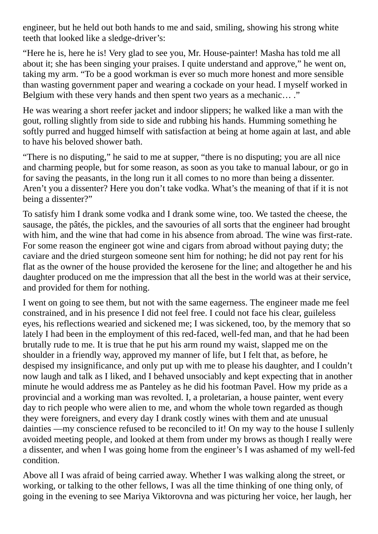engineer, but he held out both hands to me and said, smiling, showing his strong white teeth that looked like a sledge-driver's:

"Here he is, here he is! Very glad to see you, Mr. House-painter! Masha has told me all about it; she has been singing your praises. I quite understand and approve," he went on, taking my arm. "To be a good workman is ever so much more honest and more sensible than wasting government paper and wearing a cockade on your head. I myself worked in Belgium with these very hands and then spent two years as a mechanic… ."

He was wearing a short reefer jacket and indoor slippers; he walked like a man with the gout, rolling slightly from side to side and rubbing his hands. Humming something he softly purred and hugged himself with satisfaction at being at home again at last, and able to have his beloved shower bath.

"There is no disputing," he said to me at supper, "there is no disputing; you are all nice and charming people, but for some reason, as soon as you take to manual labour, or go in for saving the peasants, in the long run it all comes to no more than being a dissenter. Aren't you a dissenter? Here you don't take vodka. What's the meaning of that if it is not being a dissenter?"

To satisfy him I drank some vodka and I drank some wine, too. We tasted the cheese, the sausage, the pâtés, the pickles, and the savouries of all sorts that the engineer had brought with him, and the wine that had come in his absence from abroad. The wine was first-rate. For some reason the engineer got wine and cigars from abroad without paying duty; the caviare and the dried sturgeon someone sent him for nothing; he did not pay rent for his flat as the owner of the house provided the kerosene for the line; and altogether he and his daughter produced on me the impression that all the best in the world was at their service, and provided for them for nothing.

I went on going to see them, but not with the same eagerness. The engineer made me feel constrained, and in his presence I did not feel free. I could not face his clear, guileless eyes, his reflections wearied and sickened me; I was sickened, too, by the memory that so lately I had been in the employment of this red-faced, well-fed man, and that he had been brutally rude to me. It is true that he put his arm round my waist, slapped me on the shoulder in a friendly way, approved my manner of life, but I felt that, as before, he despised my insignificance, and only put up with me to please his daughter, and I couldn't now laugh and talk as I liked, and I behaved unsociably and kept expecting that in another minute he would address me as Panteley as he did his footman Pavel. How my pride as a provincial and a working man was revolted. I, a proletarian, a house painter, went every day to rich people who were alien to me, and whom the whole town regarded as though they were foreigners, and every day I drank costly wines with them and ate unusual dainties —my conscience refused to be reconciled to it! On my way to the house I sullenly avoided meeting people, and looked at them from under my brows as though I really were a dissenter, and when I was going home from the engineer's I was ashamed of my well-fed condition.

Above all I was afraid of being carried away. Whether I was walking along the street, or working, or talking to the other fellows, I was all the time thinking of one thing only, of going in the evening to see Mariya Viktorovna and was picturing her voice, her laugh, her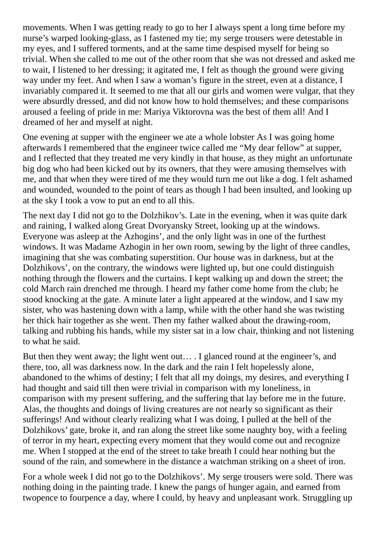movements. When I was getting ready to go to her I always spent a long time before my nurse's warped looking-glass, as I fastened my tie; my serge trousers were detestable in my eyes, and I suffered torments, and at the same time despised myself for being so trivial. When she called to me out of the other room that she was not dressed and asked me to wait, I listened to her dressing; it agitated me, I felt as though the ground were giving way under my feet. And when I saw a woman's figure in the street, even at a distance, I invariably compared it. It seemed to me that all our girls and women were vulgar, that they were absurdly dressed, and did not know how to hold themselves; and these comparisons aroused a feeling of pride in me: Mariya Viktorovna was the best of them all! And I dreamed of her and myself at night.

One evening at supper with the engineer we ate a whole lobster As I was going home afterwards I remembered that the engineer twice called me "My dear fellow" at supper, and I reflected that they treated me very kindly in that house, as they might an unfortunate big dog who had been kicked out by its owners, that they were amusing themselves with me, and that when they were tired of me they would turn me out like a dog. I felt ashamed and wounded, wounded to the point of tears as though I had been insulted, and looking up at the sky I took a vow to put an end to all this.

The next day I did not go to the Dolzhikov's. Late in the evening, when it was quite dark and raining, I walked along Great Dvoryansky Street, looking up at the windows. Everyone was asleep at the Azhogins', and the only light was in one of the furthest windows. It was Madame Azhogin in her own room, sewing by the light of three candles, imagining that she was combating superstition. Our house was in darkness, but at the Dolzhikovs', on the contrary, the windows were lighted up, but one could distinguish nothing through the flowers and the curtains. I kept walking up and down the street; the cold March rain drenched me through. I heard my father come home from the club; he stood knocking at the gate. A minute later a light appeared at the window, and I saw my sister, who was hastening down with a lamp, while with the other hand she was twisting her thick hair together as she went. Then my father walked about the drawing-room, talking and rubbing his hands, while my sister sat in a low chair, thinking and not listening to what he said.

But then they went away; the light went out… . I glanced round at the engineer's, and there, too, all was darkness now. In the dark and the rain I felt hopelessly alone, abandoned to the whims of destiny; I felt that all my doings, my desires, and everything I had thought and said till then were trivial in comparison with my loneliness, in comparison with my present suffering, and the suffering that lay before me in the future. Alas, the thoughts and doings of living creatures are not nearly so significant as their sufferings! And without clearly realizing what I was doing, I pulled at the bell of the Dolzhikovs' gate, broke it, and ran along the street like some naughty boy, with a feeling of terror in my heart, expecting every moment that they would come out and recognize me. When I stopped at the end of the street to take breath I could hear nothing but the sound of the rain, and somewhere in the distance a watchman striking on a sheet of iron.

For a whole week I did not go to the Dolzhikovs'. My serge trousers were sold. There was nothing doing in the painting trade. I knew the pangs of hunger again, and earned from twopence to fourpence a day, where I could, by heavy and unpleasant work. Struggling up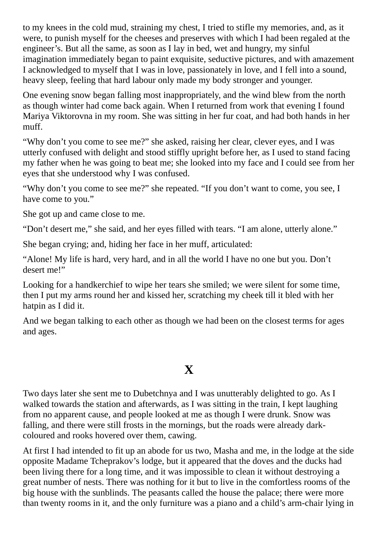to my knees in the cold mud, straining my chest, I tried to stifle my memories, and, as it were, to punish myself for the cheeses and preserves with which I had been regaled at the engineer's. But all the same, as soon as I lay in bed, wet and hungry, my sinful imagination immediately began to paint exquisite, seductive pictures, and with amazement I acknowledged to myself that I was in love, passionately in love, and I fell into a sound, heavy sleep, feeling that hard labour only made my body stronger and younger.

One evening snow began falling most inappropriately, and the wind blew from the north as though winter had come back again. When I returned from work that evening I found Mariya Viktorovna in my room. She was sitting in her fur coat, and had both hands in her muff.

"Why don't you come to see me?" she asked, raising her clear, clever eyes, and I was utterly confused with delight and stood stiffly upright before her, as I used to stand facing my father when he was going to beat me; she looked into my face and I could see from her eyes that she understood why I was confused.

"Why don't you come to see me?" she repeated. "If you don't want to come, you see, I have come to you."

She got up and came close to me.

"Don't desert me," she said, and her eyes filled with tears. "I am alone, utterly alone."

She began crying; and, hiding her face in her muff, articulated:

"Alone! My life is hard, very hard, and in all the world I have no one but you. Don't desert me!"

Looking for a handkerchief to wipe her tears she smiled; we were silent for some time, then I put my arms round her and kissed her, scratching my cheek till it bled with her hatpin as I did it.

And we began talking to each other as though we had been on the closest terms for ages and ages.

# **X**

Two days later she sent me to Dubetchnya and I was unutterably delighted to go. As I walked towards the station and afterwards, as I was sitting in the train, I kept laughing from no apparent cause, and people looked at me as though I were drunk. Snow was falling, and there were still frosts in the mornings, but the roads were already darkcoloured and rooks hovered over them, cawing.

At first I had intended to fit up an abode for us two, Masha and me, in the lodge at the side opposite Madame Tcheprakov's lodge, but it appeared that the doves and the ducks had been living there for a long time, and it was impossible to clean it without destroying a great number of nests. There was nothing for it but to live in the comfortless rooms of the big house with the sunblinds. The peasants called the house the palace; there were more than twenty rooms in it, and the only furniture was a piano and a child's arm-chair lying in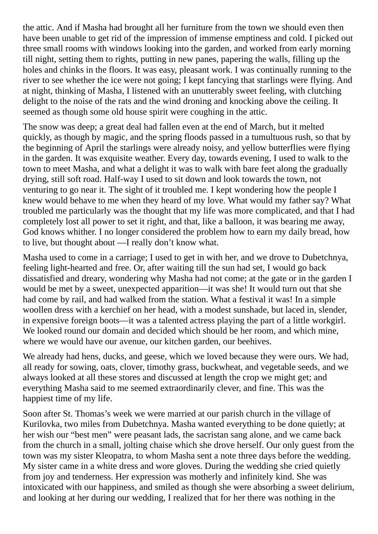the attic. And if Masha had brought all her furniture from the town we should even then have been unable to get rid of the impression of immense emptiness and cold. I picked out three small rooms with windows looking into the garden, and worked from early morning till night, setting them to rights, putting in new panes, papering the walls, filling up the holes and chinks in the floors. It was easy, pleasant work. I was continually running to the river to see whether the ice were not going; I kept fancying that starlings were flying. And at night, thinking of Masha, I listened with an unutterably sweet feeling, with clutching delight to the noise of the rats and the wind droning and knocking above the ceiling. It seemed as though some old house spirit were coughing in the attic.

The snow was deep; a great deal had fallen even at the end of March, but it melted quickly, as though by magic, and the spring floods passed in a tumultuous rush, so that by the beginning of April the starlings were already noisy, and yellow butterflies were flying in the garden. It was exquisite weather. Every day, towards evening, I used to walk to the town to meet Masha, and what a delight it was to walk with bare feet along the gradually drying, still soft road. Half-way I used to sit down and look towards the town, not venturing to go near it. The sight of it troubled me. I kept wondering how the people I knew would behave to me when they heard of my love. What would my father say? What troubled me particularly was the thought that my life was more complicated, and that I had completely lost all power to set it right, and that, like a balloon, it was bearing me away, God knows whither. I no longer considered the problem how to earn my daily bread, how to live, but thought about —I really don't know what.

Masha used to come in a carriage; I used to get in with her, and we drove to Dubetchnya, feeling light-hearted and free. Or, after waiting till the sun had set, I would go back dissatisfied and dreary, wondering why Masha had not come; at the gate or in the garden I would be met by a sweet, unexpected apparition—it was she! It would turn out that she had come by rail, and had walked from the station. What a festival it was! In a simple woollen dress with a kerchief on her head, with a modest sunshade, but laced in, slender, in expensive foreign boots—it was a talented actress playing the part of a little workgirl. We looked round our domain and decided which should be her room, and which mine, where we would have our avenue, our kitchen garden, our beehives.

We already had hens, ducks, and geese, which we loved because they were ours. We had, all ready for sowing, oats, clover, timothy grass, buckwheat, and vegetable seeds, and we always looked at all these stores and discussed at length the crop we might get; and everything Masha said to me seemed extraordinarily clever, and fine. This was the happiest time of my life.

Soon after St. Thomas's week we were married at our parish church in the village of Kurilovka, two miles from Dubetchnya. Masha wanted everything to be done quietly; at her wish our "best men" were peasant lads, the sacristan sang alone, and we came back from the church in a small, jolting chaise which she drove herself. Our only guest from the town was my sister Kleopatra, to whom Masha sent a note three days before the wedding. My sister came in a white dress and wore gloves. During the wedding she cried quietly from joy and tenderness. Her expression was motherly and infinitely kind. She was intoxicated with our happiness, and smiled as though she were absorbing a sweet delirium, and looking at her during our wedding, I realized that for her there was nothing in the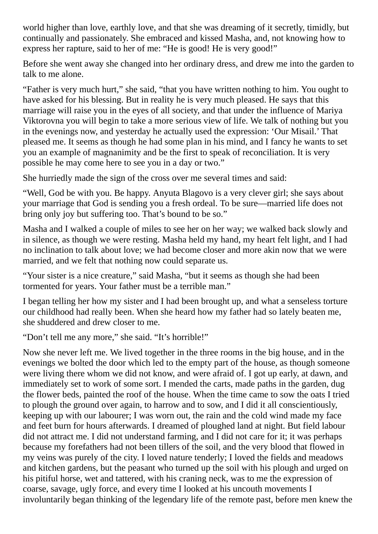world higher than love, earthly love, and that she was dreaming of it secretly, timidly, but continually and passionately. She embraced and kissed Masha, and, not knowing how to express her rapture, said to her of me: "He is good! He is very good!"

Before she went away she changed into her ordinary dress, and drew me into the garden to talk to me alone.

"Father is very much hurt," she said, "that you have written nothing to him. You ought to have asked for his blessing. But in reality he is very much pleased. He says that this marriage will raise you in the eyes of all society, and that under the influence of Mariya Viktorovna you will begin to take a more serious view of life. We talk of nothing but you in the evenings now, and yesterday he actually used the expression: 'Our Misail.' That pleased me. It seems as though he had some plan in his mind, and I fancy he wants to set you an example of magnanimity and be the first to speak of reconciliation. It is very possible he may come here to see you in a day or two."

She hurriedly made the sign of the cross over me several times and said:

"Well, God be with you. Be happy. Anyuta Blagovo is a very clever girl; she says about your marriage that God is sending you a fresh ordeal. To be sure—married life does not bring only joy but suffering too. That's bound to be so."

Masha and I walked a couple of miles to see her on her way; we walked back slowly and in silence, as though we were resting. Masha held my hand, my heart felt light, and I had no inclination to talk about love; we had become closer and more akin now that we were married, and we felt that nothing now could separate us.

"Your sister is a nice creature," said Masha, "but it seems as though she had been tormented for years. Your father must be a terrible man."

I began telling her how my sister and I had been brought up, and what a senseless torture our childhood had really been. When she heard how my father had so lately beaten me, she shuddered and drew closer to me.

"Don't tell me any more," she said. "It's horrible!"

Now she never left me. We lived together in the three rooms in the big house, and in the evenings we bolted the door which led to the empty part of the house, as though someone were living there whom we did not know, and were afraid of. I got up early, at dawn, and immediately set to work of some sort. I mended the carts, made paths in the garden, dug the flower beds, painted the roof of the house. When the time came to sow the oats I tried to plough the ground over again, to harrow and to sow, and I did it all conscientiously, keeping up with our labourer; I was worn out, the rain and the cold wind made my face and feet burn for hours afterwards. I dreamed of ploughed land at night. But field labour did not attract me. I did not understand farming, and I did not care for it; it was perhaps because my forefathers had not been tillers of the soil, and the very blood that flowed in my veins was purely of the city. I loved nature tenderly; I loved the fields and meadows and kitchen gardens, but the peasant who turned up the soil with his plough and urged on his pitiful horse, wet and tattered, with his craning neck, was to me the expression of coarse, savage, ugly force, and every time I looked at his uncouth movements I involuntarily began thinking of the legendary life of the remote past, before men knew the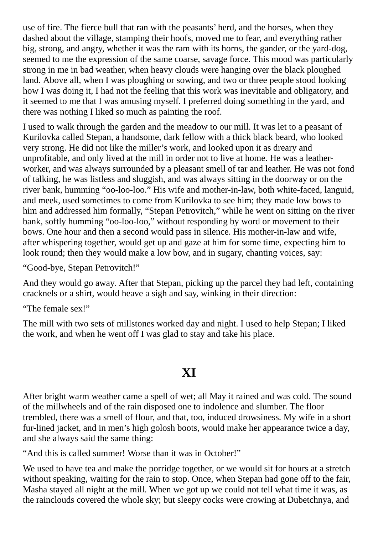use of fire. The fierce bull that ran with the peasants' herd, and the horses, when they dashed about the village, stamping their hoofs, moved me to fear, and everything rather big, strong, and angry, whether it was the ram with its horns, the gander, or the yard-dog, seemed to me the expression of the same coarse, savage force. This mood was particularly strong in me in bad weather, when heavy clouds were hanging over the black ploughed land. Above all, when I was ploughing or sowing, and two or three people stood looking how I was doing it, I had not the feeling that this work was inevitable and obligatory, and it seemed to me that I was amusing myself. I preferred doing something in the yard, and there was nothing I liked so much as painting the roof.

I used to walk through the garden and the meadow to our mill. It was let to a peasant of Kurilovka called Stepan, a handsome, dark fellow with a thick black beard, who looked very strong. He did not like the miller's work, and looked upon it as dreary and unprofitable, and only lived at the mill in order not to live at home. He was a leatherworker, and was always surrounded by a pleasant smell of tar and leather. He was not fond of talking, he was listless and sluggish, and was always sitting in the doorway or on the river bank, humming "oo-loo-loo." His wife and mother-in-law, both white-faced, languid, and meek, used sometimes to come from Kurilovka to see him; they made low bows to him and addressed him formally, "Stepan Petrovitch," while he went on sitting on the river bank, softly humming "oo-loo-loo," without responding by word or movement to their bows. One hour and then a second would pass in silence. His mother-in-law and wife, after whispering together, would get up and gaze at him for some time, expecting him to look round; then they would make a low bow, and in sugary, chanting voices, say:

"Good-bye, Stepan Petrovitch!"

And they would go away. After that Stepan, picking up the parcel they had left, containing cracknels or a shirt, would heave a sigh and say, winking in their direction:

"The female sex!"

The mill with two sets of millstones worked day and night. I used to help Stepan; I liked the work, and when he went off I was glad to stay and take his place.

### **XI**

After bright warm weather came a spell of wet; all May it rained and was cold. The sound of the millwheels and of the rain disposed one to indolence and slumber. The floor trembled, there was a smell of flour, and that, too, induced drowsiness. My wife in a short fur-lined jacket, and in men's high golosh boots, would make her appearance twice a day, and she always said the same thing:

"And this is called summer! Worse than it was in October!"

We used to have tea and make the porridge together, or we would sit for hours at a stretch without speaking, waiting for the rain to stop. Once, when Stepan had gone off to the fair, Masha stayed all night at the mill. When we got up we could not tell what time it was, as the rainclouds covered the whole sky; but sleepy cocks were crowing at Dubetchnya, and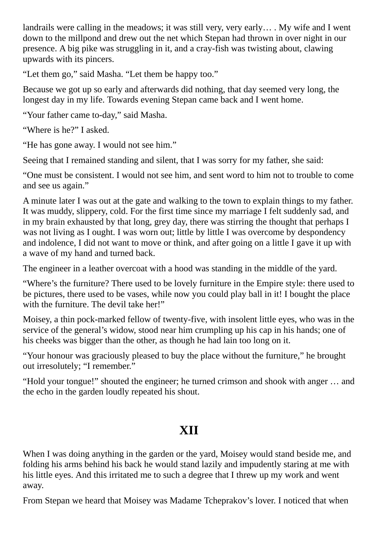landrails were calling in the meadows; it was still very, very early… . My wife and I went down to the millpond and drew out the net which Stepan had thrown in over night in our presence. A big pike was struggling in it, and a cray-fish was twisting about, clawing upwards with its pincers.

"Let them go," said Masha. "Let them be happy too."

Because we got up so early and afterwards did nothing, that day seemed very long, the longest day in my life. Towards evening Stepan came back and I went home.

"Your father came to-day," said Masha.

"Where is he?" I asked.

"He has gone away. I would not see him."

Seeing that I remained standing and silent, that I was sorry for my father, she said:

"One must be consistent. I would not see him, and sent word to him not to trouble to come and see us again."

A minute later I was out at the gate and walking to the town to explain things to my father. It was muddy, slippery, cold. For the first time since my marriage I felt suddenly sad, and in my brain exhausted by that long, grey day, there was stirring the thought that perhaps I was not living as I ought. I was worn out; little by little I was overcome by despondency and indolence, I did not want to move or think, and after going on a little I gave it up with a wave of my hand and turned back.

The engineer in a leather overcoat with a hood was standing in the middle of the yard.

"Where's the furniture? There used to be lovely furniture in the Empire style: there used to be pictures, there used to be vases, while now you could play ball in it! I bought the place with the furniture. The devil take her!"

Moisey, a thin pock-marked fellow of twenty-five, with insolent little eyes, who was in the service of the general's widow, stood near him crumpling up his cap in his hands; one of his cheeks was bigger than the other, as though he had lain too long on it.

"Your honour was graciously pleased to buy the place without the furniture," he brought out irresolutely; "I remember."

"Hold your tongue!" shouted the engineer; he turned crimson and shook with anger … and the echo in the garden loudly repeated his shout.

# **XII**

When I was doing anything in the garden or the yard, Moisey would stand beside me, and folding his arms behind his back he would stand lazily and impudently staring at me with his little eyes. And this irritated me to such a degree that I threw up my work and went away.

From Stepan we heard that Moisey was Madame Tcheprakov's lover. I noticed that when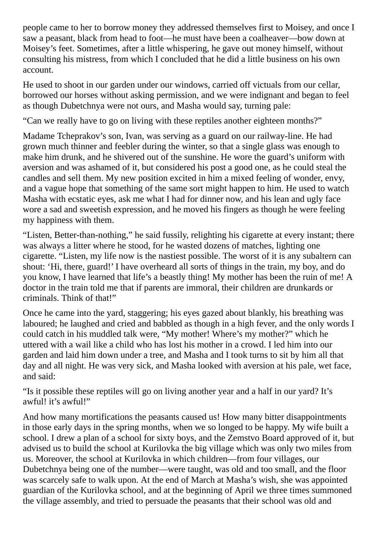people came to her to borrow money they addressed themselves first to Moisey, and once I saw a peasant, black from head to foot—he must have been a coalheaver—bow down at Moisey's feet. Sometimes, after a little whispering, he gave out money himself, without consulting his mistress, from which I concluded that he did a little business on his own account.

He used to shoot in our garden under our windows, carried off victuals from our cellar, borrowed our horses without asking permission, and we were indignant and began to feel as though Dubetchnya were not ours, and Masha would say, turning pale:

"Can we really have to go on living with these reptiles another eighteen months?"

Madame Tcheprakov's son, Ivan, was serving as a guard on our railway-line. He had grown much thinner and feebler during the winter, so that a single glass was enough to make him drunk, and he shivered out of the sunshine. He wore the guard's uniform with aversion and was ashamed of it, but considered his post a good one, as he could steal the candles and sell them. My new position excited in him a mixed feeling of wonder, envy, and a vague hope that something of the same sort might happen to him. He used to watch Masha with ecstatic eyes, ask me what I had for dinner now, and his lean and ugly face wore a sad and sweetish expression, and he moved his fingers as though he were feeling my happiness with them.

"Listen, Better-than-nothing," he said fussily, relighting his cigarette at every instant; there was always a litter where he stood, for he wasted dozens of matches, lighting one cigarette. "Listen, my life now is the nastiest possible. The worst of it is any subaltern can shout: 'Hi, there, guard!' I have overheard all sorts of things in the train, my boy, and do you know, I have learned that life's a beastly thing! My mother has been the ruin of me! A doctor in the train told me that if parents are immoral, their children are drunkards or criminals. Think of that!"

Once he came into the yard, staggering; his eyes gazed about blankly, his breathing was laboured; he laughed and cried and babbled as though in a high fever, and the only words I could catch in his muddled talk were, "My mother! Where's my mother?" which he uttered with a wail like a child who has lost his mother in a crowd. I led him into our garden and laid him down under a tree, and Masha and I took turns to sit by him all that day and all night. He was very sick, and Masha looked with aversion at his pale, wet face, and said:

"Is it possible these reptiles will go on living another year and a half in our yard? It's awful! it's awful!"

And how many mortifications the peasants caused us! How many bitter disappointments in those early days in the spring months, when we so longed to be happy. My wife built a school. I drew a plan of a school for sixty boys, and the Zemstvo Board approved of it, but advised us to build the school at Kurilovka the big village which was only two miles from us. Moreover, the school at Kurilovka in which children—from four villages, our Dubetchnya being one of the number—were taught, was old and too small, and the floor was scarcely safe to walk upon. At the end of March at Masha's wish, she was appointed guardian of the Kurilovka school, and at the beginning of April we three times summoned the village assembly, and tried to persuade the peasants that their school was old and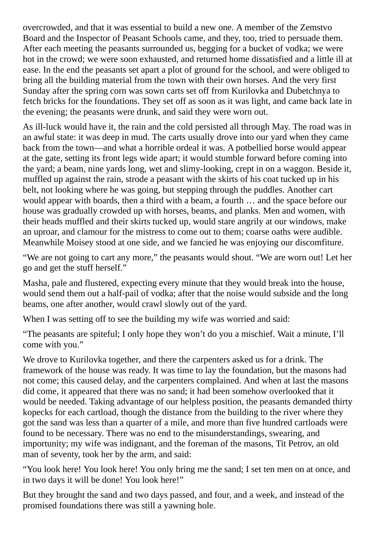overcrowded, and that it was essential to build a new one. A member of the Zemstvo Board and the Inspector of Peasant Schools came, and they, too, tried to persuade them. After each meeting the peasants surrounded us, begging for a bucket of vodka; we were hot in the crowd; we were soon exhausted, and returned home dissatisfied and a little ill at ease. In the end the peasants set apart a plot of ground for the school, and were obliged to bring all the building material from the town with their own horses. And the very first Sunday after the spring corn was sown carts set off from Kurilovka and Dubetchnya to fetch bricks for the foundations. They set off as soon as it was light, and came back late in the evening; the peasants were drunk, and said they were worn out.

As ill-luck would have it, the rain and the cold persisted all through May. The road was in an awful state: it was deep in mud. The carts usually drove into our yard when they came back from the town—and what a horrible ordeal it was. A potbellied horse would appear at the gate, setting its front legs wide apart; it would stumble forward before coming into the yard; a beam, nine yards long, wet and slimy-looking, crept in on a waggon. Beside it, muffled up against the rain, strode a peasant with the skirts of his coat tucked up in his belt, not looking where he was going, but stepping through the puddles. Another cart would appear with boards, then a third with a beam, a fourth … and the space before our house was gradually crowded up with horses, beams, and planks. Men and women, with their heads muffled and their skirts tucked up, would stare angrily at our windows, make an uproar, and clamour for the mistress to come out to them; coarse oaths were audible. Meanwhile Moisey stood at one side, and we fancied he was enjoying our discomfiture.

"We are not going to cart any more," the peasants would shout. "We are worn out! Let her go and get the stuff herself."

Masha, pale and flustered, expecting every minute that they would break into the house, would send them out a half-pail of vodka; after that the noise would subside and the long beams, one after another, would crawl slowly out of the yard.

When I was setting off to see the building my wife was worried and said:

"The peasants are spiteful; I only hope they won't do you a mischief. Wait a minute, I'll come with you."

We drove to Kurilovka together, and there the carpenters asked us for a drink. The framework of the house was ready. It was time to lay the foundation, but the masons had not come; this caused delay, and the carpenters complained. And when at last the masons did come, it appeared that there was no sand; it had been somehow overlooked that it would be needed. Taking advantage of our helpless position, the peasants demanded thirty kopecks for each cartload, though the distance from the building to the river where they got the sand was less than a quarter of a mile, and more than five hundred cartloads were found to be necessary. There was no end to the misunderstandings, swearing, and importunity; my wife was indignant, and the foreman of the masons, Tit Petrov, an old man of seventy, took her by the arm, and said:

"You look here! You look here! You only bring me the sand; I set ten men on at once, and in two days it will be done! You look here!"

But they brought the sand and two days passed, and four, and a week, and instead of the promised foundations there was still a yawning hole.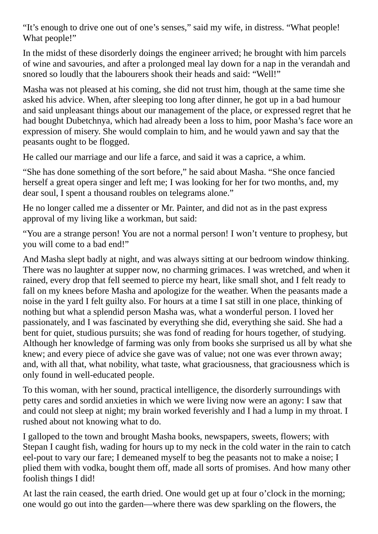"It's enough to drive one out of one's senses," said my wife, in distress. "What people! What people!"

In the midst of these disorderly doings the engineer arrived; he brought with him parcels of wine and savouries, and after a prolonged meal lay down for a nap in the verandah and snored so loudly that the labourers shook their heads and said: "Well!"

Masha was not pleased at his coming, she did not trust him, though at the same time she asked his advice. When, after sleeping too long after dinner, he got up in a bad humour and said unpleasant things about our management of the place, or expressed regret that he had bought Dubetchnya, which had already been a loss to him, poor Masha's face wore an expression of misery. She would complain to him, and he would yawn and say that the peasants ought to be flogged.

He called our marriage and our life a farce, and said it was a caprice, a whim.

"She has done something of the sort before," he said about Masha. "She once fancied herself a great opera singer and left me; I was looking for her for two months, and, my dear soul, I spent a thousand roubles on telegrams alone."

He no longer called me a dissenter or Mr. Painter, and did not as in the past express approval of my living like a workman, but said:

"You are a strange person! You are not a normal person! I won't venture to prophesy, but you will come to a bad end!"

And Masha slept badly at night, and was always sitting at our bedroom window thinking. There was no laughter at supper now, no charming grimaces. I was wretched, and when it rained, every drop that fell seemed to pierce my heart, like small shot, and I felt ready to fall on my knees before Masha and apologize for the weather. When the peasants made a noise in the yard I felt guilty also. For hours at a time I sat still in one place, thinking of nothing but what a splendid person Masha was, what a wonderful person. I loved her passionately, and I was fascinated by everything she did, everything she said. She had a bent for quiet, studious pursuits; she was fond of reading for hours together, of studying. Although her knowledge of farming was only from books she surprised us all by what she knew; and every piece of advice she gave was of value; not one was ever thrown away; and, with all that, what nobility, what taste, what graciousness, that graciousness which is only found in well-educated people.

To this woman, with her sound, practical intelligence, the disorderly surroundings with petty cares and sordid anxieties in which we were living now were an agony: I saw that and could not sleep at night; my brain worked feverishly and I had a lump in my throat. I rushed about not knowing what to do.

I galloped to the town and brought Masha books, newspapers, sweets, flowers; with Stepan I caught fish, wading for hours up to my neck in the cold water in the rain to catch eel-pout to vary our fare; I demeaned myself to beg the peasants not to make a noise; I plied them with vodka, bought them off, made all sorts of promises. And how many other foolish things I did!

At last the rain ceased, the earth dried. One would get up at four o'clock in the morning; one would go out into the garden—where there was dew sparkling on the flowers, the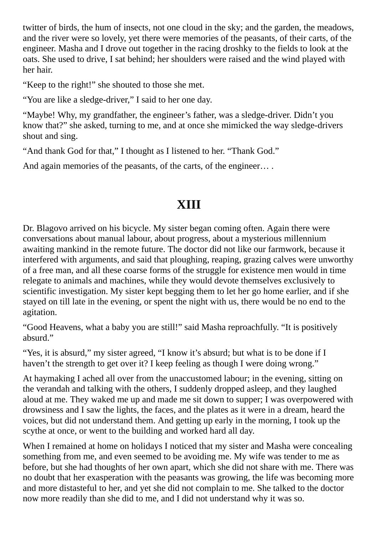twitter of birds, the hum of insects, not one cloud in the sky; and the garden, the meadows, and the river were so lovely, yet there were memories of the peasants, of their carts, of the engineer. Masha and I drove out together in the racing droshky to the fields to look at the oats. She used to drive, I sat behind; her shoulders were raised and the wind played with her hair.

"Keep to the right!" she shouted to those she met.

"You are like a sledge-driver," I said to her one day.

"Maybe! Why, my grandfather, the engineer's father, was a sledge-driver. Didn't you know that?" she asked, turning to me, and at once she mimicked the way sledge-drivers shout and sing.

"And thank God for that," I thought as I listened to her. "Thank God."

And again memories of the peasants, of the carts, of the engineer....

# **XIII**

Dr. Blagovo arrived on his bicycle. My sister began coming often. Again there were conversations about manual labour, about progress, about a mysterious millennium awaiting mankind in the remote future. The doctor did not like our farmwork, because it interfered with arguments, and said that ploughing, reaping, grazing calves were unworthy of a free man, and all these coarse forms of the struggle for existence men would in time relegate to animals and machines, while they would devote themselves exclusively to scientific investigation. My sister kept begging them to let her go home earlier, and if she stayed on till late in the evening, or spent the night with us, there would be no end to the agitation.

"Good Heavens, what a baby you are still!" said Masha reproachfully. "It is positively absurd."

"Yes, it is absurd," my sister agreed, "I know it's absurd; but what is to be done if I haven't the strength to get over it? I keep feeling as though I were doing wrong."

At haymaking I ached all over from the unaccustomed labour; in the evening, sitting on the verandah and talking with the others, I suddenly dropped asleep, and they laughed aloud at me. They waked me up and made me sit down to supper; I was overpowered with drowsiness and I saw the lights, the faces, and the plates as it were in a dream, heard the voices, but did not understand them. And getting up early in the morning, I took up the scythe at once, or went to the building and worked hard all day.

When I remained at home on holidays I noticed that my sister and Masha were concealing something from me, and even seemed to be avoiding me. My wife was tender to me as before, but she had thoughts of her own apart, which she did not share with me. There was no doubt that her exasperation with the peasants was growing, the life was becoming more and more distasteful to her, and yet she did not complain to me. She talked to the doctor now more readily than she did to me, and I did not understand why it was so.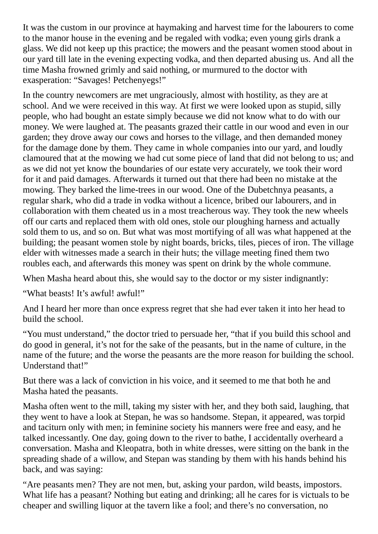It was the custom in our province at haymaking and harvest time for the labourers to come to the manor house in the evening and be regaled with vodka; even young girls drank a glass. We did not keep up this practice; the mowers and the peasant women stood about in our yard till late in the evening expecting vodka, and then departed abusing us. And all the time Masha frowned grimly and said nothing, or murmured to the doctor with exasperation: "Savages! Petchenyegs!"

In the country newcomers are met ungraciously, almost with hostility, as they are at school. And we were received in this way. At first we were looked upon as stupid, silly people, who had bought an estate simply because we did not know what to do with our money. We were laughed at. The peasants grazed their cattle in our wood and even in our garden; they drove away our cows and horses to the village, and then demanded money for the damage done by them. They came in whole companies into our yard, and loudly clamoured that at the mowing we had cut some piece of land that did not belong to us; and as we did not yet know the boundaries of our estate very accurately, we took their word for it and paid damages. Afterwards it turned out that there had been no mistake at the mowing. They barked the lime-trees in our wood. One of the Dubetchnya peasants, a regular shark, who did a trade in vodka without a licence, bribed our labourers, and in collaboration with them cheated us in a most treacherous way. They took the new wheels off our carts and replaced them with old ones, stole our ploughing harness and actually sold them to us, and so on. But what was most mortifying of all was what happened at the building; the peasant women stole by night boards, bricks, tiles, pieces of iron. The village elder with witnesses made a search in their huts; the village meeting fined them two roubles each, and afterwards this money was spent on drink by the whole commune.

When Masha heard about this, she would say to the doctor or my sister indignantly:

"What beasts! It's awful! awful!"

And I heard her more than once express regret that she had ever taken it into her head to build the school.

"You must understand," the doctor tried to persuade her, "that if you build this school and do good in general, it's not for the sake of the peasants, but in the name of culture, in the name of the future; and the worse the peasants are the more reason for building the school. Understand that!"

But there was a lack of conviction in his voice, and it seemed to me that both he and Masha hated the peasants.

Masha often went to the mill, taking my sister with her, and they both said, laughing, that they went to have a look at Stepan, he was so handsome. Stepan, it appeared, was torpid and taciturn only with men; in feminine society his manners were free and easy, and he talked incessantly. One day, going down to the river to bathe, I accidentally overheard a conversation. Masha and Kleopatra, both in white dresses, were sitting on the bank in the spreading shade of a willow, and Stepan was standing by them with his hands behind his back, and was saying:

"Are peasants men? They are not men, but, asking your pardon, wild beasts, impostors. What life has a peasant? Nothing but eating and drinking; all he cares for is victuals to be cheaper and swilling liquor at the tavern like a fool; and there's no conversation, no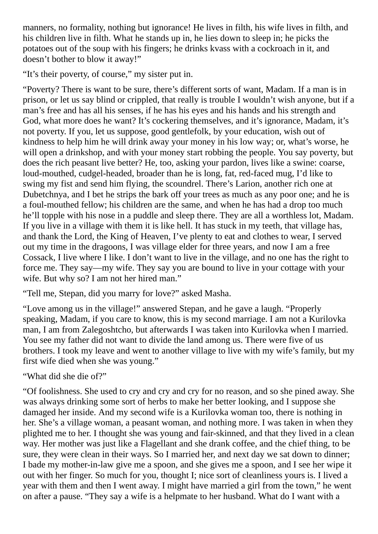manners, no formality, nothing but ignorance! He lives in filth, his wife lives in filth, and his children live in filth. What he stands up in, he lies down to sleep in; he picks the potatoes out of the soup with his fingers; he drinks kvass with a cockroach in it, and doesn't bother to blow it away!"

"It's their poverty, of course," my sister put in.

"Poverty? There is want to be sure, there's different sorts of want, Madam. If a man is in prison, or let us say blind or crippled, that really is trouble I wouldn't wish anyone, but if a man's free and has all his senses, if he has his eyes and his hands and his strength and God, what more does he want? It's cockering themselves, and it's ignorance, Madam, it's not poverty. If you, let us suppose, good gentlefolk, by your education, wish out of kindness to help him he will drink away your money in his low way; or, what's worse, he will open a drinkshop, and with your money start robbing the people. You say poverty, but does the rich peasant live better? He, too, asking your pardon, lives like a swine: coarse, loud-mouthed, cudgel-headed, broader than he is long, fat, red-faced mug, I'd like to swing my fist and send him flying, the scoundrel. There's Larion, another rich one at Dubetchnya, and I bet he strips the bark off your trees as much as any poor one; and he is a foul-mouthed fellow; his children are the same, and when he has had a drop too much he'll topple with his nose in a puddle and sleep there. They are all a worthless lot, Madam. If you live in a village with them it is like hell. It has stuck in my teeth, that village has, and thank the Lord, the King of Heaven, I've plenty to eat and clothes to wear, I served out my time in the dragoons, I was village elder for three years, and now I am a free Cossack, I live where I like. I don't want to live in the village, and no one has the right to force me. They say—my wife. They say you are bound to live in your cottage with your wife. But why so? I am not her hired man."

"Tell me, Stepan, did you marry for love?" asked Masha.

"Love among us in the village!" answered Stepan, and he gave a laugh. "Properly speaking, Madam, if you care to know, this is my second marriage. I am not a Kurilovka man, I am from Zalegoshtcho, but afterwards I was taken into Kurilovka when I married. You see my father did not want to divide the land among us. There were five of us brothers. I took my leave and went to another village to live with my wife's family, but my first wife died when she was young."

#### "What did she die of?"

"Of foolishness. She used to cry and cry and cry for no reason, and so she pined away. She was always drinking some sort of herbs to make her better looking, and I suppose she damaged her inside. And my second wife is a Kurilovka woman too, there is nothing in her. She's a village woman, a peasant woman, and nothing more. I was taken in when they plighted me to her. I thought she was young and fair-skinned, and that they lived in a clean way. Her mother was just like a Flagellant and she drank coffee, and the chief thing, to be sure, they were clean in their ways. So I married her, and next day we sat down to dinner; I bade my mother-in-law give me a spoon, and she gives me a spoon, and I see her wipe it out with her finger. So much for you, thought I; nice sort of cleanliness yours is. I lived a year with them and then I went away. I might have married a girl from the town," he went on after a pause. "They say a wife is a helpmate to her husband. What do I want with a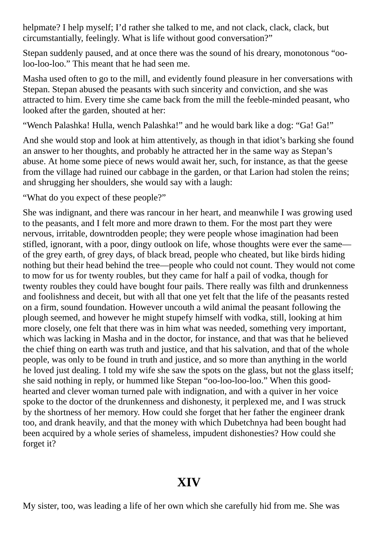helpmate? I help myself; I'd rather she talked to me, and not clack, clack, clack, but circumstantially, feelingly. What is life without good conversation?"

Stepan suddenly paused, and at once there was the sound of his dreary, monotonous "ooloo-loo-loo." This meant that he had seen me.

Masha used often to go to the mill, and evidently found pleasure in her conversations with Stepan. Stepan abused the peasants with such sincerity and conviction, and she was attracted to him. Every time she came back from the mill the feeble-minded peasant, who looked after the garden, shouted at her:

"Wench Palashka! Hulla, wench Palashka!" and he would bark like a dog: "Ga! Ga!"

And she would stop and look at him attentively, as though in that idiot's barking she found an answer to her thoughts, and probably he attracted her in the same way as Stepan's abuse. At home some piece of news would await her, such, for instance, as that the geese from the village had ruined our cabbage in the garden, or that Larion had stolen the reins; and shrugging her shoulders, she would say with a laugh:

"What do you expect of these people?"

She was indignant, and there was rancour in her heart, and meanwhile I was growing used to the peasants, and I felt more and more drawn to them. For the most part they were nervous, irritable, downtrodden people; they were people whose imagination had been stifled, ignorant, with a poor, dingy outlook on life, whose thoughts were ever the same of the grey earth, of grey days, of black bread, people who cheated, but like birds hiding nothing but their head behind the tree—people who could not count. They would not come to mow for us for twenty roubles, but they came for half a pail of vodka, though for twenty roubles they could have bought four pails. There really was filth and drunkenness and foolishness and deceit, but with all that one yet felt that the life of the peasants rested on a firm, sound foundation. However uncouth a wild animal the peasant following the plough seemed, and however he might stupefy himself with vodka, still, looking at him more closely, one felt that there was in him what was needed, something very important, which was lacking in Masha and in the doctor, for instance, and that was that he believed the chief thing on earth was truth and justice, and that his salvation, and that of the whole people, was only to be found in truth and justice, and so more than anything in the world he loved just dealing. I told my wife she saw the spots on the glass, but not the glass itself; she said nothing in reply, or hummed like Stepan "oo-loo-loo-loo." When this goodhearted and clever woman turned pale with indignation, and with a quiver in her voice spoke to the doctor of the drunkenness and dishonesty, it perplexed me, and I was struck by the shortness of her memory. How could she forget that her father the engineer drank too, and drank heavily, and that the money with which Dubetchnya had been bought had been acquired by a whole series of shameless, impudent dishonesties? How could she forget it?

# **XIV**

My sister, too, was leading a life of her own which she carefully hid from me. She was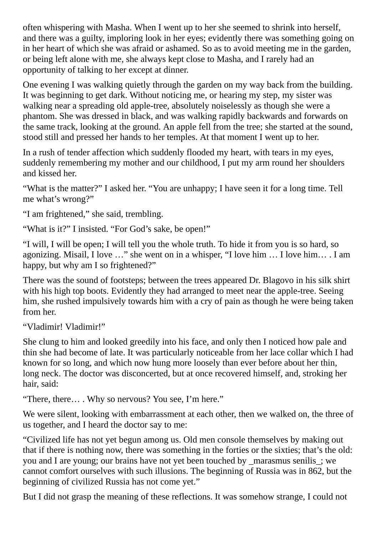often whispering with Masha. When I went up to her she seemed to shrink into herself, and there was a guilty, imploring look in her eyes; evidently there was something going on in her heart of which she was afraid or ashamed. So as to avoid meeting me in the garden, or being left alone with me, she always kept close to Masha, and I rarely had an opportunity of talking to her except at dinner.

One evening I was walking quietly through the garden on my way back from the building. It was beginning to get dark. Without noticing me, or hearing my step, my sister was walking near a spreading old apple-tree, absolutely noiselessly as though she were a phantom. She was dressed in black, and was walking rapidly backwards and forwards on the same track, looking at the ground. An apple fell from the tree; she started at the sound, stood still and pressed her hands to her temples. At that moment I went up to her.

In a rush of tender affection which suddenly flooded my heart, with tears in my eyes, suddenly remembering my mother and our childhood, I put my arm round her shoulders and kissed her.

"What is the matter?" I asked her. "You are unhappy; I have seen it for a long time. Tell me what's wrong?"

"I am frightened," she said, trembling.

"What is it?" I insisted. "For God's sake, be open!"

"I will, I will be open; I will tell you the whole truth. To hide it from you is so hard, so agonizing. Misail, I love …" she went on in a whisper, "I love him … I love him… . I am happy, but why am I so frightened?"

There was the sound of footsteps; between the trees appeared Dr. Blagovo in his silk shirt with his high top boots. Evidently they had arranged to meet near the apple-tree. Seeing him, she rushed impulsively towards him with a cry of pain as though he were being taken from her.

"Vladimir! Vladimir!"

She clung to him and looked greedily into his face, and only then I noticed how pale and thin she had become of late. It was particularly noticeable from her lace collar which I had known for so long, and which now hung more loosely than ever before about her thin, long neck. The doctor was disconcerted, but at once recovered himself, and, stroking her hair, said:

"There, there… . Why so nervous? You see, I'm here."

We were silent, looking with embarrassment at each other, then we walked on, the three of us together, and I heard the doctor say to me:

"Civilized life has not yet begun among us. Old men console themselves by making out that if there is nothing now, there was something in the forties or the sixties; that's the old: you and I are young; our brains have not yet been touched by \_marasmus senilis\_; we cannot comfort ourselves with such illusions. The beginning of Russia was in 862, but the beginning of civilized Russia has not come yet."

But I did not grasp the meaning of these reflections. It was somehow strange, I could not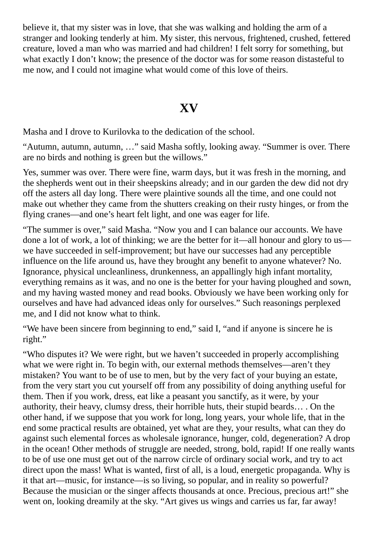believe it, that my sister was in love, that she was walking and holding the arm of a stranger and looking tenderly at him. My sister, this nervous, frightened, crushed, fettered creature, loved a man who was married and had children! I felt sorry for something, but what exactly I don't know; the presence of the doctor was for some reason distasteful to me now, and I could not imagine what would come of this love of theirs.

## **XV**

Masha and I drove to Kurilovka to the dedication of the school.

"Autumn, autumn, autumn, …" said Masha softly, looking away. "Summer is over. There are no birds and nothing is green but the willows."

Yes, summer was over. There were fine, warm days, but it was fresh in the morning, and the shepherds went out in their sheepskins already; and in our garden the dew did not dry off the asters all day long. There were plaintive sounds all the time, and one could not make out whether they came from the shutters creaking on their rusty hinges, or from the flying cranes—and one's heart felt light, and one was eager for life.

"The summer is over," said Masha. "Now you and I can balance our accounts. We have done a lot of work, a lot of thinking; we are the better for it—all honour and glory to us we have succeeded in self-improvement; but have our successes had any perceptible influence on the life around us, have they brought any benefit to anyone whatever? No. Ignorance, physical uncleanliness, drunkenness, an appallingly high infant mortality, everything remains as it was, and no one is the better for your having ploughed and sown, and my having wasted money and read books. Obviously we have been working only for ourselves and have had advanced ideas only for ourselves." Such reasonings perplexed me, and I did not know what to think.

"We have been sincere from beginning to end," said I, "and if anyone is sincere he is right."

"Who disputes it? We were right, but we haven't succeeded in properly accomplishing what we were right in. To begin with, our external methods themselves—aren't they mistaken? You want to be of use to men, but by the very fact of your buying an estate, from the very start you cut yourself off from any possibility of doing anything useful for them. Then if you work, dress, eat like a peasant you sanctify, as it were, by your authority, their heavy, clumsy dress, their horrible huts, their stupid beards… . On the other hand, if we suppose that you work for long, long years, your whole life, that in the end some practical results are obtained, yet what are they, your results, what can they do against such elemental forces as wholesale ignorance, hunger, cold, degeneration? A drop in the ocean! Other methods of struggle are needed, strong, bold, rapid! If one really wants to be of use one must get out of the narrow circle of ordinary social work, and try to act direct upon the mass! What is wanted, first of all, is a loud, energetic propaganda. Why is it that art—music, for instance—is so living, so popular, and in reality so powerful? Because the musician or the singer affects thousands at once. Precious, precious art!" she went on, looking dreamily at the sky. "Art gives us wings and carries us far, far away!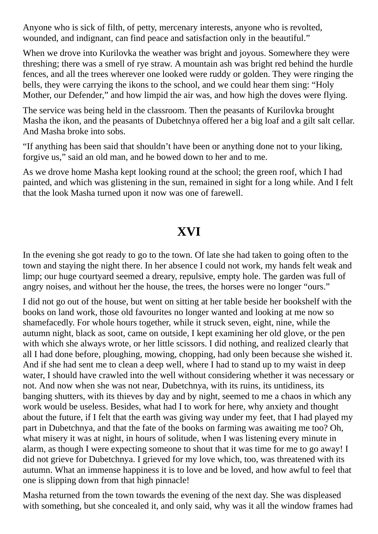Anyone who is sick of filth, of petty, mercenary interests, anyone who is revolted, wounded, and indignant, can find peace and satisfaction only in the beautiful."

When we drove into Kurilovka the weather was bright and joyous. Somewhere they were threshing; there was a smell of rye straw. A mountain ash was bright red behind the hurdle fences, and all the trees wherever one looked were ruddy or golden. They were ringing the bells, they were carrying the ikons to the school, and we could hear them sing: "Holy Mother, our Defender," and how limpid the air was, and how high the doves were flying.

The service was being held in the classroom. Then the peasants of Kurilovka brought Masha the ikon, and the peasants of Dubetchnya offered her a big loaf and a gilt salt cellar. And Masha broke into sobs.

"If anything has been said that shouldn't have been or anything done not to your liking, forgive us," said an old man, and he bowed down to her and to me.

As we drove home Masha kept looking round at the school; the green roof, which I had painted, and which was glistening in the sun, remained in sight for a long while. And I felt that the look Masha turned upon it now was one of farewell.

# **XVI**

In the evening she got ready to go to the town. Of late she had taken to going often to the town and staying the night there. In her absence I could not work, my hands felt weak and limp; our huge courtyard seemed a dreary, repulsive, empty hole. The garden was full of angry noises, and without her the house, the trees, the horses were no longer "ours."

I did not go out of the house, but went on sitting at her table beside her bookshelf with the books on land work, those old favourites no longer wanted and looking at me now so shamefacedly. For whole hours together, while it struck seven, eight, nine, while the autumn night, black as soot, came on outside, I kept examining her old glove, or the pen with which she always wrote, or her little scissors. I did nothing, and realized clearly that all I had done before, ploughing, mowing, chopping, had only been because she wished it. And if she had sent me to clean a deep well, where I had to stand up to my waist in deep water, I should have crawled into the well without considering whether it was necessary or not. And now when she was not near, Dubetchnya, with its ruins, its untidiness, its banging shutters, with its thieves by day and by night, seemed to me a chaos in which any work would be useless. Besides, what had I to work for here, why anxiety and thought about the future, if I felt that the earth was giving way under my feet, that I had played my part in Dubetchnya, and that the fate of the books on farming was awaiting me too? Oh, what misery it was at night, in hours of solitude, when I was listening every minute in alarm, as though I were expecting someone to shout that it was time for me to go away! I did not grieve for Dubetchnya. I grieved for my love which, too, was threatened with its autumn. What an immense happiness it is to love and be loved, and how awful to feel that one is slipping down from that high pinnacle!

Masha returned from the town towards the evening of the next day. She was displeased with something, but she concealed it, and only said, why was it all the window frames had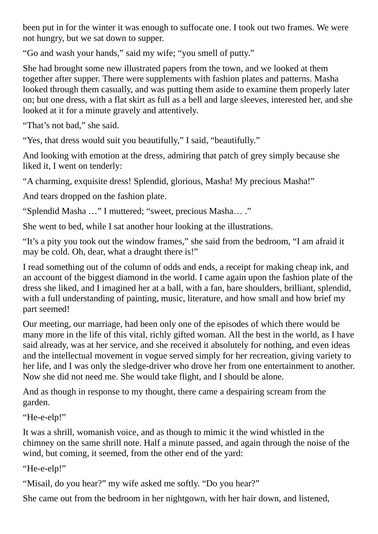been put in for the winter it was enough to suffocate one. I took out two frames. We were not hungry, but we sat down to supper.

"Go and wash your hands," said my wife; "you smell of putty."

She had brought some new illustrated papers from the town, and we looked at them together after supper. There were supplements with fashion plates and patterns. Masha looked through them casually, and was putting them aside to examine them properly later on; but one dress, with a flat skirt as full as a bell and large sleeves, interested her, and she looked at it for a minute gravely and attentively.

"That's not bad," she said.

"Yes, that dress would suit you beautifully," I said, "beautifully."

And looking with emotion at the dress, admiring that patch of grey simply because she liked it, I went on tenderly:

"A charming, exquisite dress! Splendid, glorious, Masha! My precious Masha!"

And tears dropped on the fashion plate.

"Splendid Masha …" I muttered; "sweet, precious Masha… ."

She went to bed, while I sat another hour looking at the illustrations.

"It's a pity you took out the window frames," she said from the bedroom, "I am afraid it may be cold. Oh, dear, what a draught there is!"

I read something out of the column of odds and ends, a receipt for making cheap ink, and an account of the biggest diamond in the world. I came again upon the fashion plate of the dress she liked, and I imagined her at a ball, with a fan, bare shoulders, brilliant, splendid, with a full understanding of painting, music, literature, and how small and how brief my part seemed!

Our meeting, our marriage, had been only one of the episodes of which there would be many more in the life of this vital, richly gifted woman. All the best in the world, as I have said already, was at her service, and she received it absolutely for nothing, and even ideas and the intellectual movement in vogue served simply for her recreation, giving variety to her life, and I was only the sledge-driver who drove her from one entertainment to another. Now she did not need me. She would take flight, and I should be alone.

And as though in response to my thought, there came a despairing scream from the garden.

#### "He-e-elp!"

It was a shrill, womanish voice, and as though to mimic it the wind whistled in the chimney on the same shrill note. Half a minute passed, and again through the noise of the wind, but coming, it seemed, from the other end of the yard:

"He-e-elp!"

"Misail, do you hear?" my wife asked me softly. "Do you hear?"

She came out from the bedroom in her nightgown, with her hair down, and listened,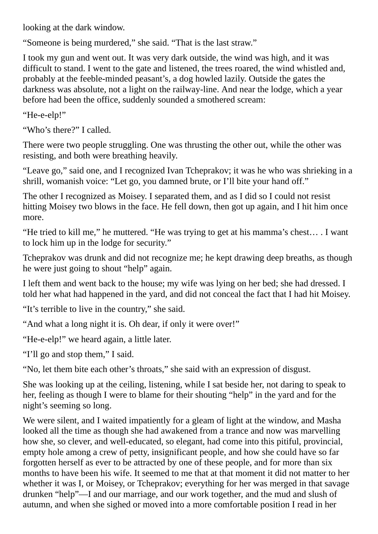looking at the dark window.

"Someone is being murdered," she said. "That is the last straw."

I took my gun and went out. It was very dark outside, the wind was high, and it was difficult to stand. I went to the gate and listened, the trees roared, the wind whistled and, probably at the feeble-minded peasant's, a dog howled lazily. Outside the gates the darkness was absolute, not a light on the railway-line. And near the lodge, which a year before had been the office, suddenly sounded a smothered scream:

"He-e-elp!"

"Who's there?" I called.

There were two people struggling. One was thrusting the other out, while the other was resisting, and both were breathing heavily.

"Leave go," said one, and I recognized Ivan Tcheprakov; it was he who was shrieking in a shrill, womanish voice: "Let go, you damned brute, or I'll bite your hand off."

The other I recognized as Moisey. I separated them, and as I did so I could not resist hitting Moisey two blows in the face. He fell down, then got up again, and I hit him once more.

"He tried to kill me," he muttered. "He was trying to get at his mamma's chest… . I want to lock him up in the lodge for security."

Tcheprakov was drunk and did not recognize me; he kept drawing deep breaths, as though he were just going to shout "help" again.

I left them and went back to the house; my wife was lying on her bed; she had dressed. I told her what had happened in the yard, and did not conceal the fact that I had hit Moisey.

"It's terrible to live in the country," she said.

"And what a long night it is. Oh dear, if only it were over!"

"He-e-elp!" we heard again, a little later.

"I'll go and stop them," I said.

"No, let them bite each other's throats," she said with an expression of disgust.

She was looking up at the ceiling, listening, while I sat beside her, not daring to speak to her, feeling as though I were to blame for their shouting "help" in the yard and for the night's seeming so long.

We were silent, and I waited impatiently for a gleam of light at the window, and Masha looked all the time as though she had awakened from a trance and now was marvelling how she, so clever, and well-educated, so elegant, had come into this pitiful, provincial, empty hole among a crew of petty, insignificant people, and how she could have so far forgotten herself as ever to be attracted by one of these people, and for more than six months to have been his wife. It seemed to me that at that moment it did not matter to her whether it was I, or Moisey, or Tcheprakov; everything for her was merged in that savage drunken "help"—I and our marriage, and our work together, and the mud and slush of autumn, and when she sighed or moved into a more comfortable position I read in her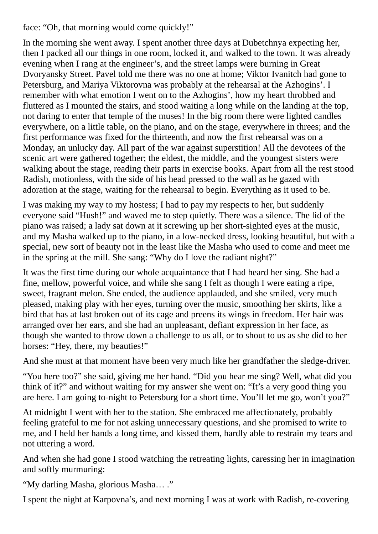face: "Oh, that morning would come quickly!"

In the morning she went away. I spent another three days at Dubetchnya expecting her, then I packed all our things in one room, locked it, and walked to the town. It was already evening when I rang at the engineer's, and the street lamps were burning in Great Dvoryansky Street. Pavel told me there was no one at home; Viktor Ivanitch had gone to Petersburg, and Mariya Viktorovna was probably at the rehearsal at the Azhogins'. I remember with what emotion I went on to the Azhogins', how my heart throbbed and fluttered as I mounted the stairs, and stood waiting a long while on the landing at the top, not daring to enter that temple of the muses! In the big room there were lighted candles everywhere, on a little table, on the piano, and on the stage, everywhere in threes; and the first performance was fixed for the thirteenth, and now the first rehearsal was on a Monday, an unlucky day. All part of the war against superstition! All the devotees of the scenic art were gathered together; the eldest, the middle, and the youngest sisters were walking about the stage, reading their parts in exercise books. Apart from all the rest stood Radish, motionless, with the side of his head pressed to the wall as he gazed with adoration at the stage, waiting for the rehearsal to begin. Everything as it used to be.

I was making my way to my hostess; I had to pay my respects to her, but suddenly everyone said "Hush!" and waved me to step quietly. There was a silence. The lid of the piano was raised; a lady sat down at it screwing up her short-sighted eyes at the music, and my Masha walked up to the piano, in a low-necked dress, looking beautiful, but with a special, new sort of beauty not in the least like the Masha who used to come and meet me in the spring at the mill. She sang: "Why do I love the radiant night?"

It was the first time during our whole acquaintance that I had heard her sing. She had a fine, mellow, powerful voice, and while she sang I felt as though I were eating a ripe, sweet, fragrant melon. She ended, the audience applauded, and she smiled, very much pleased, making play with her eyes, turning over the music, smoothing her skirts, like a bird that has at last broken out of its cage and preens its wings in freedom. Her hair was arranged over her ears, and she had an unpleasant, defiant expression in her face, as though she wanted to throw down a challenge to us all, or to shout to us as she did to her horses: "Hey, there, my beauties!"

And she must at that moment have been very much like her grandfather the sledge-driver.

"You here too?" she said, giving me her hand. "Did you hear me sing? Well, what did you think of it?" and without waiting for my answer she went on: "It's a very good thing you are here. I am going to-night to Petersburg for a short time. You'll let me go, won't you?"

At midnight I went with her to the station. She embraced me affectionately, probably feeling grateful to me for not asking unnecessary questions, and she promised to write to me, and I held her hands a long time, and kissed them, hardly able to restrain my tears and not uttering a word.

And when she had gone I stood watching the retreating lights, caressing her in imagination and softly murmuring:

"My darling Masha, glorious Masha… ."

I spent the night at Karpovna's, and next morning I was at work with Radish, re-covering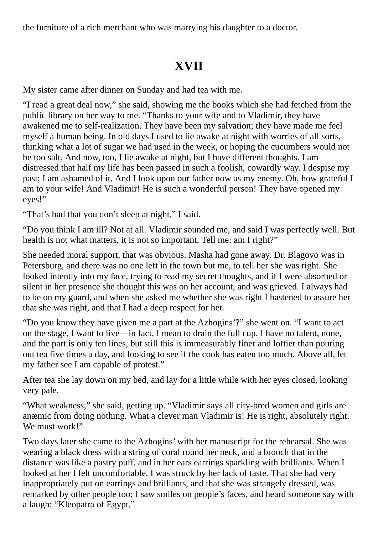the furniture of a rich merchant who was marrying his daughter to a doctor.

# **XVII**

My sister came after dinner on Sunday and had tea with me.

"I read a great deal now," she said, showing me the books which she had fetched from the public library on her way to me. "Thanks to your wife and to Vladimir, they have awakened me to self-realization. They have been my salvation; they have made me feel myself a human being. In old days I used to lie awake at night with worries of all sorts, thinking what a lot of sugar we had used in the week, or hoping the cucumbers would not be too salt. And now, too, I lie awake at night, but I have different thoughts. I am distressed that half my life has been passed in such a foolish, cowardly way. I despise my past; I am ashamed of it. And I look upon our father now as my enemy. Oh, how grateful I am to your wife! And Vladimir! He is such a wonderful person! They have opened my eyes!"

"That's bad that you don't sleep at night," I said.

"Do you think I am ill? Not at all. Vladimir sounded me, and said I was perfectly well. But health is not what matters, it is not so important. Tell me: am I right?"

She needed moral support, that was obvious. Masha had gone away. Dr. Blagovo was in Petersburg, and there was no one left in the town but me, to tell her she was right. She looked intently into my face, trying to read my secret thoughts, and if I were absorbed or silent in her presence she thought this was on her account, and was grieved. I always had to be on my guard, and when she asked me whether she was right I hastened to assure her that she was right, and that I had a deep respect for her.

"Do you know they have given me a part at the Azhogins'?" she went on. "I want to act on the stage, I want to live—in fact, I mean to drain the full cup. I have no talent, none, and the part is only ten lines, but still this is immeasurably finer and loftier than pouring out tea five times a day, and looking to see if the cook has eaten too much. Above all, let my father see I am capable of protest."

After tea she lay down on my bed, and lay for a little while with her eyes closed, looking very pale.

"What weakness," she said, getting up. "Vladimir says all city-bred women and girls are anæmic from doing nothing. What a clever man Vladimir is! He is right, absolutely right. We must work!"

Two days later she came to the Azhogins' with her manuscript for the rehearsal. She was wearing a black dress with a string of coral round her neck, and a brooch that in the distance was like a pastry puff, and in her ears earrings sparkling with brilliants. When I looked at her I felt uncomfortable. I was struck by her lack of taste. That she had very inappropriately put on earrings and brilliants, and that she was strangely dressed, was remarked by other people too; I saw smiles on people's faces, and heard someone say with a laugh: "Kleopatra of Egypt."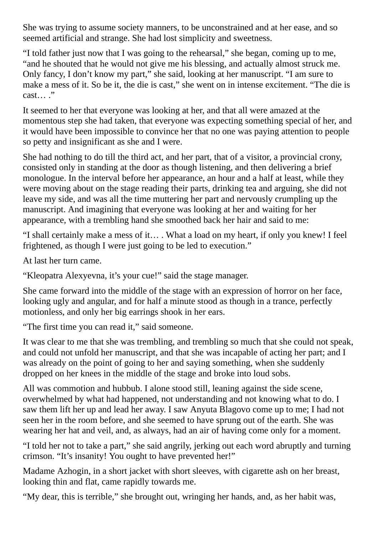She was trying to assume society manners, to be unconstrained and at her ease, and so seemed artificial and strange. She had lost simplicity and sweetness.

"I told father just now that I was going to the rehearsal," she began, coming up to me, "and he shouted that he would not give me his blessing, and actually almost struck me. Only fancy, I don't know my part," she said, looking at her manuscript. "I am sure to make a mess of it. So be it, the die is cast," she went on in intense excitement. "The die is cast… ."

It seemed to her that everyone was looking at her, and that all were amazed at the momentous step she had taken, that everyone was expecting something special of her, and it would have been impossible to convince her that no one was paying attention to people so petty and insignificant as she and I were.

She had nothing to do till the third act, and her part, that of a visitor, a provincial crony, consisted only in standing at the door as though listening, and then delivering a brief monologue. In the interval before her appearance, an hour and a half at least, while they were moving about on the stage reading their parts, drinking tea and arguing, she did not leave my side, and was all the time muttering her part and nervously crumpling up the manuscript. And imagining that everyone was looking at her and waiting for her appearance, with a trembling hand she smoothed back her hair and said to me:

"I shall certainly make a mess of it… . What a load on my heart, if only you knew! I feel frightened, as though I were just going to be led to execution."

At last her turn came.

"Kleopatra Alexyevna, it's your cue!" said the stage manager.

She came forward into the middle of the stage with an expression of horror on her face, looking ugly and angular, and for half a minute stood as though in a trance, perfectly motionless, and only her big earrings shook in her ears.

"The first time you can read it," said someone.

It was clear to me that she was trembling, and trembling so much that she could not speak, and could not unfold her manuscript, and that she was incapable of acting her part; and I was already on the point of going to her and saying something, when she suddenly dropped on her knees in the middle of the stage and broke into loud sobs.

All was commotion and hubbub. I alone stood still, leaning against the side scene, overwhelmed by what had happened, not understanding and not knowing what to do. I saw them lift her up and lead her away. I saw Anyuta Blagovo come up to me; I had not seen her in the room before, and she seemed to have sprung out of the earth. She was wearing her hat and veil, and, as always, had an air of having come only for a moment.

"I told her not to take a part," she said angrily, jerking out each word abruptly and turning crimson. "It's insanity! You ought to have prevented her!"

Madame Azhogin, in a short jacket with short sleeves, with cigarette ash on her breast, looking thin and flat, came rapidly towards me.

"My dear, this is terrible," she brought out, wringing her hands, and, as her habit was,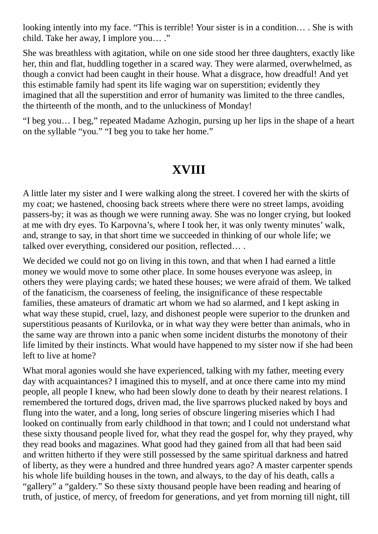looking intently into my face. "This is terrible! Your sister is in a condition… . She is with child. Take her away, I implore you… ."

She was breathless with agitation, while on one side stood her three daughters, exactly like her, thin and flat, huddling together in a scared way. They were alarmed, overwhelmed, as though a convict had been caught in their house. What a disgrace, how dreadful! And yet this estimable family had spent its life waging war on superstition; evidently they imagined that all the superstition and error of humanity was limited to the three candles, the thirteenth of the month, and to the unluckiness of Monday!

"I beg you… I beg," repeated Madame Azhogin, pursing up her lips in the shape of a heart on the syllable "you." "I beg you to take her home."

# **XVIII**

A little later my sister and I were walking along the street. I covered her with the skirts of my coat; we hastened, choosing back streets where there were no street lamps, avoiding passers-by; it was as though we were running away. She was no longer crying, but looked at me with dry eyes. To Karpovna's, where I took her, it was only twenty minutes' walk, and, strange to say, in that short time we succeeded in thinking of our whole life; we talked over everything, considered our position, reflected… .

We decided we could not go on living in this town, and that when I had earned a little money we would move to some other place. In some houses everyone was asleep, in others they were playing cards; we hated these houses; we were afraid of them. We talked of the fanaticism, the coarseness of feeling, the insignificance of these respectable families, these amateurs of dramatic art whom we had so alarmed, and I kept asking in what way these stupid, cruel, lazy, and dishonest people were superior to the drunken and superstitious peasants of Kurilovka, or in what way they were better than animals, who in the same way are thrown into a panic when some incident disturbs the monotony of their life limited by their instincts. What would have happened to my sister now if she had been left to live at home?

What moral agonies would she have experienced, talking with my father, meeting every day with acquaintances? I imagined this to myself, and at once there came into my mind people, all people I knew, who had been slowly done to death by their nearest relations. I remembered the tortured dogs, driven mad, the live sparrows plucked naked by boys and flung into the water, and a long, long series of obscure lingering miseries which I had looked on continually from early childhood in that town; and I could not understand what these sixty thousand people lived for, what they read the gospel for, why they prayed, why they read books and magazines. What good had they gained from all that had been said and written hitherto if they were still possessed by the same spiritual darkness and hatred of liberty, as they were a hundred and three hundred years ago? A master carpenter spends his whole life building houses in the town, and always, to the day of his death, calls a "gallery" a "galdery." So these sixty thousand people have been reading and hearing of truth, of justice, of mercy, of freedom for generations, and yet from morning till night, till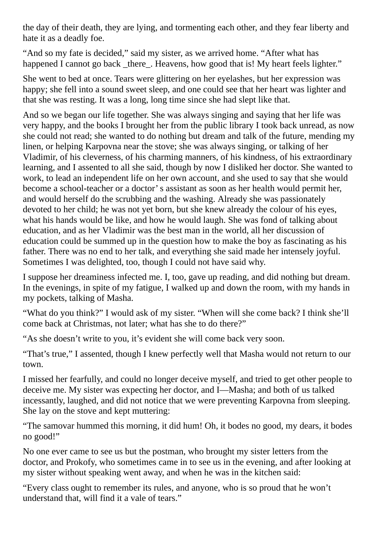the day of their death, they are lying, and tormenting each other, and they fear liberty and hate it as a deadly foe.

"And so my fate is decided," said my sister, as we arrived home. "After what has happened I cannot go back there. Heavens, how good that is! My heart feels lighter."

She went to bed at once. Tears were glittering on her eyelashes, but her expression was happy; she fell into a sound sweet sleep, and one could see that her heart was lighter and that she was resting. It was a long, long time since she had slept like that.

And so we began our life together. She was always singing and saying that her life was very happy, and the books I brought her from the public library I took back unread, as now she could not read; she wanted to do nothing but dream and talk of the future, mending my linen, or helping Karpovna near the stove; she was always singing, or talking of her Vladimir, of his cleverness, of his charming manners, of his kindness, of his extraordinary learning, and I assented to all she said, though by now I disliked her doctor. She wanted to work, to lead an independent life on her own account, and she used to say that she would become a school-teacher or a doctor's assistant as soon as her health would permit her, and would herself do the scrubbing and the washing. Already she was passionately devoted to her child; he was not yet born, but she knew already the colour of his eyes, what his hands would be like, and how he would laugh. She was fond of talking about education, and as her Vladimir was the best man in the world, all her discussion of education could be summed up in the question how to make the boy as fascinating as his father. There was no end to her talk, and everything she said made her intensely joyful. Sometimes I was delighted, too, though I could not have said why.

I suppose her dreaminess infected me. I, too, gave up reading, and did nothing but dream. In the evenings, in spite of my fatigue, I walked up and down the room, with my hands in my pockets, talking of Masha.

"What do you think?" I would ask of my sister. "When will she come back? I think she'll come back at Christmas, not later; what has she to do there?"

"As she doesn't write to you, it's evident she will come back very soon.

"That's true," I assented, though I knew perfectly well that Masha would not return to our town.

I missed her fearfully, and could no longer deceive myself, and tried to get other people to deceive me. My sister was expecting her doctor, and I—Masha; and both of us talked incessantly, laughed, and did not notice that we were preventing Karpovna from sleeping. She lay on the stove and kept muttering:

"The samovar hummed this morning, it did hum! Oh, it bodes no good, my dears, it bodes no good!"

No one ever came to see us but the postman, who brought my sister letters from the doctor, and Prokofy, who sometimes came in to see us in the evening, and after looking at my sister without speaking went away, and when he was in the kitchen said:

"Every class ought to remember its rules, and anyone, who is so proud that he won't understand that, will find it a vale of tears."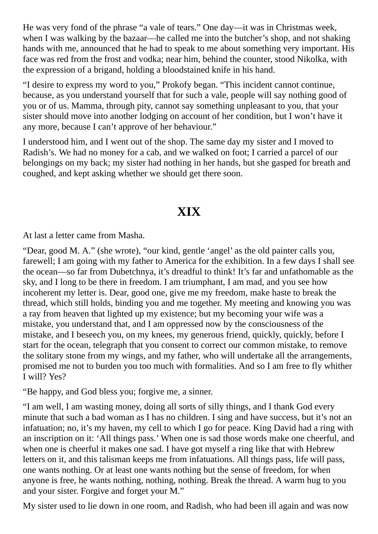He was very fond of the phrase "a vale of tears." One day—it was in Christmas week, when I was walking by the bazaar—he called me into the butcher's shop, and not shaking hands with me, announced that he had to speak to me about something very important. His face was red from the frost and vodka; near him, behind the counter, stood Nikolka, with the expression of a brigand, holding a bloodstained knife in his hand.

"I desire to express my word to you," Prokofy began. "This incident cannot continue, because, as you understand yourself that for such a vale, people will say nothing good of you or of us. Mamma, through pity, cannot say something unpleasant to you, that your sister should move into another lodging on account of her condition, but I won't have it any more, because I can't approve of her behaviour."

I understood him, and I went out of the shop. The same day my sister and I moved to Radish's. We had no money for a cab, and we walked on foot; I carried a parcel of our belongings on my back; my sister had nothing in her hands, but she gasped for breath and coughed, and kept asking whether we should get there soon.

# **XIX**

At last a letter came from Masha.

"Dear, good M. A." (she wrote), "our kind, gentle 'angel' as the old painter calls you, farewell; I am going with my father to America for the exhibition. In a few days I shall see the ocean—so far from Dubetchnya, it's dreadful to think! It's far and unfathomable as the sky, and I long to be there in freedom. I am triumphant, I am mad, and you see how incoherent my letter is. Dear, good one, give me my freedom, make haste to break the thread, which still holds, binding you and me together. My meeting and knowing you was a ray from heaven that lighted up my existence; but my becoming your wife was a mistake, you understand that, and I am oppressed now by the consciousness of the mistake, and I beseech you, on my knees, my generous friend, quickly, quickly, before I start for the ocean, telegraph that you consent to correct our common mistake, to remove the solitary stone from my wings, and my father, who will undertake all the arrangements, promised me not to burden you too much with formalities. And so I am free to fly whither I will? Yes?

"Be happy, and God bless you; forgive me, a sinner.

"I am well, I am wasting money, doing all sorts of silly things, and I thank God every minute that such a bad woman as I has no children. I sing and have success, but it's not an infatuation; no, it's my haven, my cell to which I go for peace. King David had a ring with an inscription on it: 'All things pass.' When one is sad those words make one cheerful, and when one is cheerful it makes one sad. I have got myself a ring like that with Hebrew letters on it, and this talisman keeps me from infatuations. All things pass, life will pass, one wants nothing. Or at least one wants nothing but the sense of freedom, for when anyone is free, he wants nothing, nothing, nothing. Break the thread. A warm hug to you and your sister. Forgive and forget your M."

My sister used to lie down in one room, and Radish, who had been ill again and was now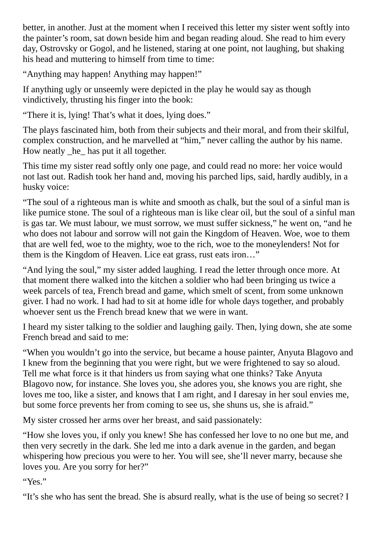better, in another. Just at the moment when I received this letter my sister went softly into the painter's room, sat down beside him and began reading aloud. She read to him every day, Ostrovsky or Gogol, and he listened, staring at one point, not laughing, but shaking his head and muttering to himself from time to time:

"Anything may happen! Anything may happen!"

If anything ugly or unseemly were depicted in the play he would say as though vindictively, thrusting his finger into the book:

"There it is, lying! That's what it does, lying does."

The plays fascinated him, both from their subjects and their moral, and from their skilful, complex construction, and he marvelled at "him," never calling the author by his name. How neatly \_he\_ has put it all together.

This time my sister read softly only one page, and could read no more: her voice would not last out. Radish took her hand and, moving his parched lips, said, hardly audibly, in a husky voice:

"The soul of a righteous man is white and smooth as chalk, but the soul of a sinful man is like pumice stone. The soul of a righteous man is like clear oil, but the soul of a sinful man is gas tar. We must labour, we must sorrow, we must suffer sickness," he went on, "and he who does not labour and sorrow will not gain the Kingdom of Heaven. Woe, woe to them that are well fed, woe to the mighty, woe to the rich, woe to the moneylenders! Not for them is the Kingdom of Heaven. Lice eat grass, rust eats iron…"

"And lying the soul," my sister added laughing. I read the letter through once more. At that moment there walked into the kitchen a soldier who had been bringing us twice a week parcels of tea, French bread and game, which smelt of scent, from some unknown giver. I had no work. I had had to sit at home idle for whole days together, and probably whoever sent us the French bread knew that we were in want.

I heard my sister talking to the soldier and laughing gaily. Then, lying down, she ate some French bread and said to me:

"When you wouldn't go into the service, but became a house painter, Anyuta Blagovo and I knew from the beginning that you were right, but we were frightened to say so aloud. Tell me what force is it that hinders us from saying what one thinks? Take Anyuta Blagovo now, for instance. She loves you, she adores you, she knows you are right, she loves me too, like a sister, and knows that I am right, and I daresay in her soul envies me, but some force prevents her from coming to see us, she shuns us, she is afraid."

My sister crossed her arms over her breast, and said passionately:

"How she loves you, if only you knew! She has confessed her love to no one but me, and then very secretly in the dark. She led me into a dark avenue in the garden, and began whispering how precious you were to her. You will see, she'll never marry, because she loves you. Are you sorry for her?"

"Yes."

"It's she who has sent the bread. She is absurd really, what is the use of being so secret? I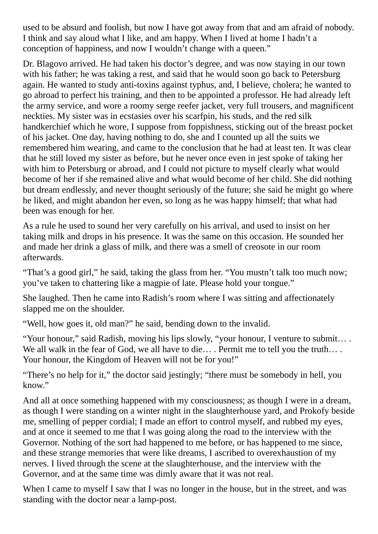used to be absurd and foolish, but now I have got away from that and am afraid of nobody. I think and say aloud what I like, and am happy. When I lived at home I hadn't a conception of happiness, and now I wouldn't change with a queen."

Dr. Blagovo arrived. He had taken his doctor's degree, and was now staying in our town with his father; he was taking a rest, and said that he would soon go back to Petersburg again. He wanted to study anti-toxins against typhus, and, I believe, cholera; he wanted to go abroad to perfect his training, and then to be appointed a professor. He had already left the army service, and wore a roomy serge reefer jacket, very full trousers, and magnificent neckties. My sister was in ecstasies over his scarfpin, his studs, and the red silk handkerchief which he wore, I suppose from foppishness, sticking out of the breast pocket of his jacket. One day, having nothing to do, she and I counted up all the suits we remembered him wearing, and came to the conclusion that he had at least ten. It was clear that he still loved my sister as before, but he never once even in jest spoke of taking her with him to Petersburg or abroad, and I could not picture to myself clearly what would become of her if she remained alive and what would become of her child. She did nothing but dream endlessly, and never thought seriously of the future; she said he might go where he liked, and might abandon her even, so long as he was happy himself; that what had been was enough for her.

As a rule he used to sound her very carefully on his arrival, and used to insist on her taking milk and drops in his presence. It was the same on this occasion. He sounded her and made her drink a glass of milk, and there was a smell of creosote in our room afterwards.

"That's a good girl," he said, taking the glass from her. "You mustn't talk too much now; you've taken to chattering like a magpie of late. Please hold your tongue."

She laughed. Then he came into Radish's room where I was sitting and affectionately slapped me on the shoulder.

"Well, how goes it, old man?" he said, bending down to the invalid.

"Your honour," said Radish, moving his lips slowly, "your honour, I venture to submit… . We all walk in the fear of God, we all have to die... . Permit me to tell you the truth... . Your honour, the Kingdom of Heaven will not be for you!"

"There's no help for it," the doctor said jestingly; "there must be somebody in hell, you know."

And all at once something happened with my consciousness; as though I were in a dream, as though I were standing on a winter night in the slaughterhouse yard, and Prokofy beside me, smelling of pepper cordial; I made an effort to control myself, and rubbed my eyes, and at once it seemed to me that I was going along the road to the interview with the Governor. Nothing of the sort had happened to me before, or has happened to me since, and these strange memories that were like dreams, I ascribed to overexhaustion of my nerves. I lived through the scene at the slaughterhouse, and the interview with the Governor, and at the same time was dimly aware that it was not real.

When I came to myself I saw that I was no longer in the house, but in the street, and was standing with the doctor near a lamp-post.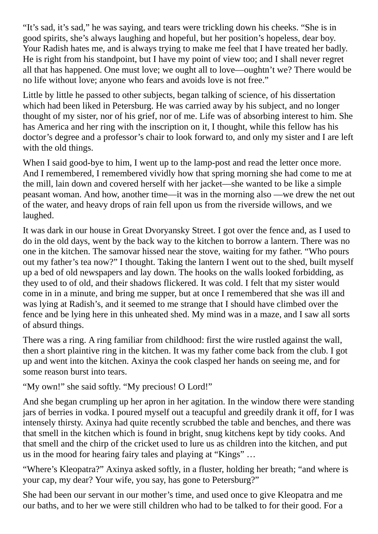"It's sad, it's sad," he was saying, and tears were trickling down his cheeks. "She is in good spirits, she's always laughing and hopeful, but her position's hopeless, dear boy. Your Radish hates me, and is always trying to make me feel that I have treated her badly. He is right from his standpoint, but I have my point of view too; and I shall never regret all that has happened. One must love; we ought all to love—oughtn't we? There would be no life without love; anyone who fears and avoids love is not free."

Little by little he passed to other subjects, began talking of science, of his dissertation which had been liked in Petersburg. He was carried away by his subject, and no longer thought of my sister, nor of his grief, nor of me. Life was of absorbing interest to him. She has America and her ring with the inscription on it, I thought, while this fellow has his doctor's degree and a professor's chair to look forward to, and only my sister and I are left with the old things.

When I said good-bye to him, I went up to the lamp-post and read the letter once more. And I remembered, I remembered vividly how that spring morning she had come to me at the mill, lain down and covered herself with her jacket—she wanted to be like a simple peasant woman. And how, another time—it was in the morning also —we drew the net out of the water, and heavy drops of rain fell upon us from the riverside willows, and we laughed.

It was dark in our house in Great Dvoryansky Street. I got over the fence and, as I used to do in the old days, went by the back way to the kitchen to borrow a lantern. There was no one in the kitchen. The samovar hissed near the stove, waiting for my father. "Who pours out my father's tea now?" I thought. Taking the lantern I went out to the shed, built myself up a bed of old newspapers and lay down. The hooks on the walls looked forbidding, as they used to of old, and their shadows flickered. It was cold. I felt that my sister would come in in a minute, and bring me supper, but at once I remembered that she was ill and was lying at Radish's, and it seemed to me strange that I should have climbed over the fence and be lying here in this unheated shed. My mind was in a maze, and I saw all sorts of absurd things.

There was a ring. A ring familiar from childhood: first the wire rustled against the wall, then a short plaintive ring in the kitchen. It was my father come back from the club. I got up and went into the kitchen. Axinya the cook clasped her hands on seeing me, and for some reason burst into tears.

"My own!" she said softly. "My precious! O Lord!"

And she began crumpling up her apron in her agitation. In the window there were standing jars of berries in vodka. I poured myself out a teacupful and greedily drank it off, for I was intensely thirsty. Axinya had quite recently scrubbed the table and benches, and there was that smell in the kitchen which is found in bright, snug kitchens kept by tidy cooks. And that smell and the chirp of the cricket used to lure us as children into the kitchen, and put us in the mood for hearing fairy tales and playing at "Kings" …

"Where's Kleopatra?" Axinya asked softly, in a fluster, holding her breath; "and where is your cap, my dear? Your wife, you say, has gone to Petersburg?"

She had been our servant in our mother's time, and used once to give Kleopatra and me our baths, and to her we were still children who had to be talked to for their good. For a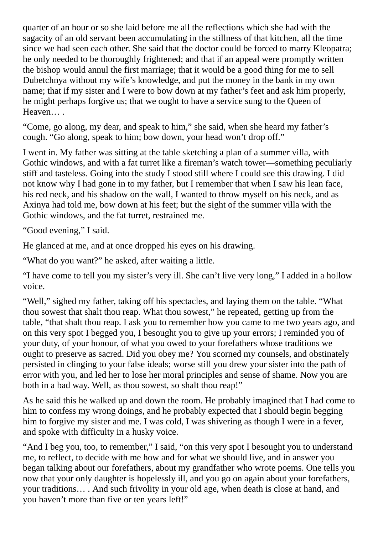quarter of an hour or so she laid before me all the reflections which she had with the sagacity of an old servant been accumulating in the stillness of that kitchen, all the time since we had seen each other. She said that the doctor could be forced to marry Kleopatra; he only needed to be thoroughly frightened; and that if an appeal were promptly written the bishop would annul the first marriage; that it would be a good thing for me to sell Dubetchnya without my wife's knowledge, and put the money in the bank in my own name; that if my sister and I were to bow down at my father's feet and ask him properly, he might perhaps forgive us; that we ought to have a service sung to the Queen of Heaven… .

"Come, go along, my dear, and speak to him," she said, when she heard my father's cough. "Go along, speak to him; bow down, your head won't drop off."

I went in. My father was sitting at the table sketching a plan of a summer villa, with Gothic windows, and with a fat turret like a fireman's watch tower—something peculiarly stiff and tasteless. Going into the study I stood still where I could see this drawing. I did not know why I had gone in to my father, but I remember that when I saw his lean face, his red neck, and his shadow on the wall, I wanted to throw myself on his neck, and as Axinya had told me, bow down at his feet; but the sight of the summer villa with the Gothic windows, and the fat turret, restrained me.

"Good evening," I said.

He glanced at me, and at once dropped his eyes on his drawing.

"What do you want?" he asked, after waiting a little.

"I have come to tell you my sister's very ill. She can't live very long," I added in a hollow voice.

"Well," sighed my father, taking off his spectacles, and laying them on the table. "What thou sowest that shalt thou reap. What thou sowest," he repeated, getting up from the table, "that shalt thou reap. I ask you to remember how you came to me two years ago, and on this very spot I begged you, I besought you to give up your errors; I reminded you of your duty, of your honour, of what you owed to your forefathers whose traditions we ought to preserve as sacred. Did you obey me? You scorned my counsels, and obstinately persisted in clinging to your false ideals; worse still you drew your sister into the path of error with you, and led her to lose her moral principles and sense of shame. Now you are both in a bad way. Well, as thou sowest, so shalt thou reap!"

As he said this he walked up and down the room. He probably imagined that I had come to him to confess my wrong doings, and he probably expected that I should begin begging him to forgive my sister and me. I was cold, I was shivering as though I were in a fever, and spoke with difficulty in a husky voice.

"And I beg you, too, to remember," I said, "on this very spot I besought you to understand me, to reflect, to decide with me how and for what we should live, and in answer you began talking about our forefathers, about my grandfather who wrote poems. One tells you now that your only daughter is hopelessly ill, and you go on again about your forefathers, your traditions… . And such frivolity in your old age, when death is close at hand, and you haven't more than five or ten years left!"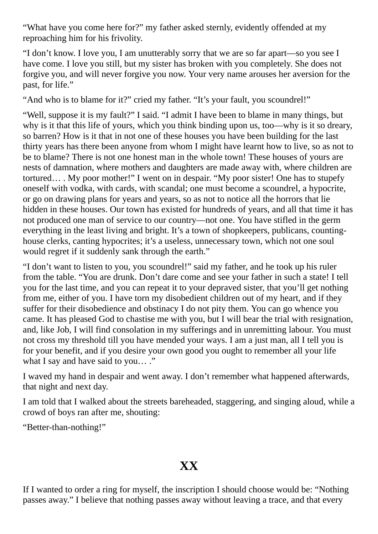"What have you come here for?" my father asked sternly, evidently offended at my reproaching him for his frivolity.

"I don't know. I love you, I am unutterably sorry that we are so far apart—so you see I have come. I love you still, but my sister has broken with you completely. She does not forgive you, and will never forgive you now. Your very name arouses her aversion for the past, for life."

"And who is to blame for it?" cried my father. "It's your fault, you scoundrel!"

"Well, suppose it is my fault?" I said. "I admit I have been to blame in many things, but why is it that this life of yours, which you think binding upon us, too—why is it so dreary, so barren? How is it that in not one of these houses you have been building for the last thirty years has there been anyone from whom I might have learnt how to live, so as not to be to blame? There is not one honest man in the whole town! These houses of yours are nests of damnation, where mothers and daughters are made away with, where children are tortured… . My poor mother!" I went on in despair. "My poor sister! One has to stupefy oneself with vodka, with cards, with scandal; one must become a scoundrel, a hypocrite, or go on drawing plans for years and years, so as not to notice all the horrors that lie hidden in these houses. Our town has existed for hundreds of years, and all that time it has not produced one man of service to our country—not one. You have stifled in the germ everything in the least living and bright. It's a town of shopkeepers, publicans, countinghouse clerks, canting hypocrites; it's a useless, unnecessary town, which not one soul would regret if it suddenly sank through the earth."

"I don't want to listen to you, you scoundrel!" said my father, and he took up his ruler from the table. "You are drunk. Don't dare come and see your father in such a state! I tell you for the last time, and you can repeat it to your depraved sister, that you'll get nothing from me, either of you. I have torn my disobedient children out of my heart, and if they suffer for their disobedience and obstinacy I do not pity them. You can go whence you came. It has pleased God to chastise me with you, but I will bear the trial with resignation, and, like Job, I will find consolation in my sufferings and in unremitting labour. You must not cross my threshold till you have mended your ways. I am a just man, all I tell you is for your benefit, and if you desire your own good you ought to remember all your life what I say and have said to you...."

I waved my hand in despair and went away. I don't remember what happened afterwards, that night and next day.

I am told that I walked about the streets bareheaded, staggering, and singing aloud, while a crowd of boys ran after me, shouting:

"Better-than-nothing!"

## **XX**

If I wanted to order a ring for myself, the inscription I should choose would be: "Nothing passes away." I believe that nothing passes away without leaving a trace, and that every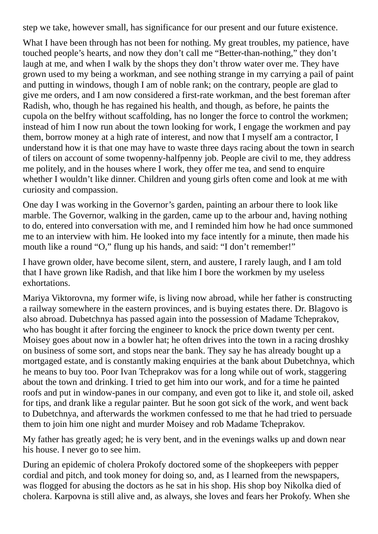step we take, however small, has significance for our present and our future existence.

What I have been through has not been for nothing. My great troubles, my patience, have touched people's hearts, and now they don't call me "Better-than-nothing," they don't laugh at me, and when I walk by the shops they don't throw water over me. They have grown used to my being a workman, and see nothing strange in my carrying a pail of paint and putting in windows, though I am of noble rank; on the contrary, people are glad to give me orders, and I am now considered a first-rate workman, and the best foreman after Radish, who, though he has regained his health, and though, as before, he paints the cupola on the belfry without scaffolding, has no longer the force to control the workmen; instead of him I now run about the town looking for work, I engage the workmen and pay them, borrow money at a high rate of interest, and now that I myself am a contractor, I understand how it is that one may have to waste three days racing about the town in search of tilers on account of some twopenny-halfpenny job. People are civil to me, they address me politely, and in the houses where I work, they offer me tea, and send to enquire whether I wouldn't like dinner. Children and young girls often come and look at me with curiosity and compassion.

One day I was working in the Governor's garden, painting an arbour there to look like marble. The Governor, walking in the garden, came up to the arbour and, having nothing to do, entered into conversation with me, and I reminded him how he had once summoned me to an interview with him. He looked into my face intently for a minute, then made his mouth like a round "O," flung up his hands, and said: "I don't remember!"

I have grown older, have become silent, stern, and austere, I rarely laugh, and I am told that I have grown like Radish, and that like him I bore the workmen by my useless exhortations.

Mariya Viktorovna, my former wife, is living now abroad, while her father is constructing a railway somewhere in the eastern provinces, and is buying estates there. Dr. Blagovo is also abroad. Dubetchnya has passed again into the possession of Madame Tcheprakov, who has bought it after forcing the engineer to knock the price down twenty per cent. Moisey goes about now in a bowler hat; he often drives into the town in a racing droshky on business of some sort, and stops near the bank. They say he has already bought up a mortgaged estate, and is constantly making enquiries at the bank about Dubetchnya, which he means to buy too. Poor Ivan Tcheprakov was for a long while out of work, staggering about the town and drinking. I tried to get him into our work, and for a time he painted roofs and put in window-panes in our company, and even got to like it, and stole oil, asked for tips, and drank like a regular painter. But he soon got sick of the work, and went back to Dubetchnya, and afterwards the workmen confessed to me that he had tried to persuade them to join him one night and murder Moisey and rob Madame Tcheprakov.

My father has greatly aged; he is very bent, and in the evenings walks up and down near his house. I never go to see him.

During an epidemic of cholera Prokofy doctored some of the shopkeepers with pepper cordial and pitch, and took money for doing so, and, as I learned from the newspapers, was flogged for abusing the doctors as he sat in his shop. His shop boy Nikolka died of cholera. Karpovna is still alive and, as always, she loves and fears her Prokofy. When she